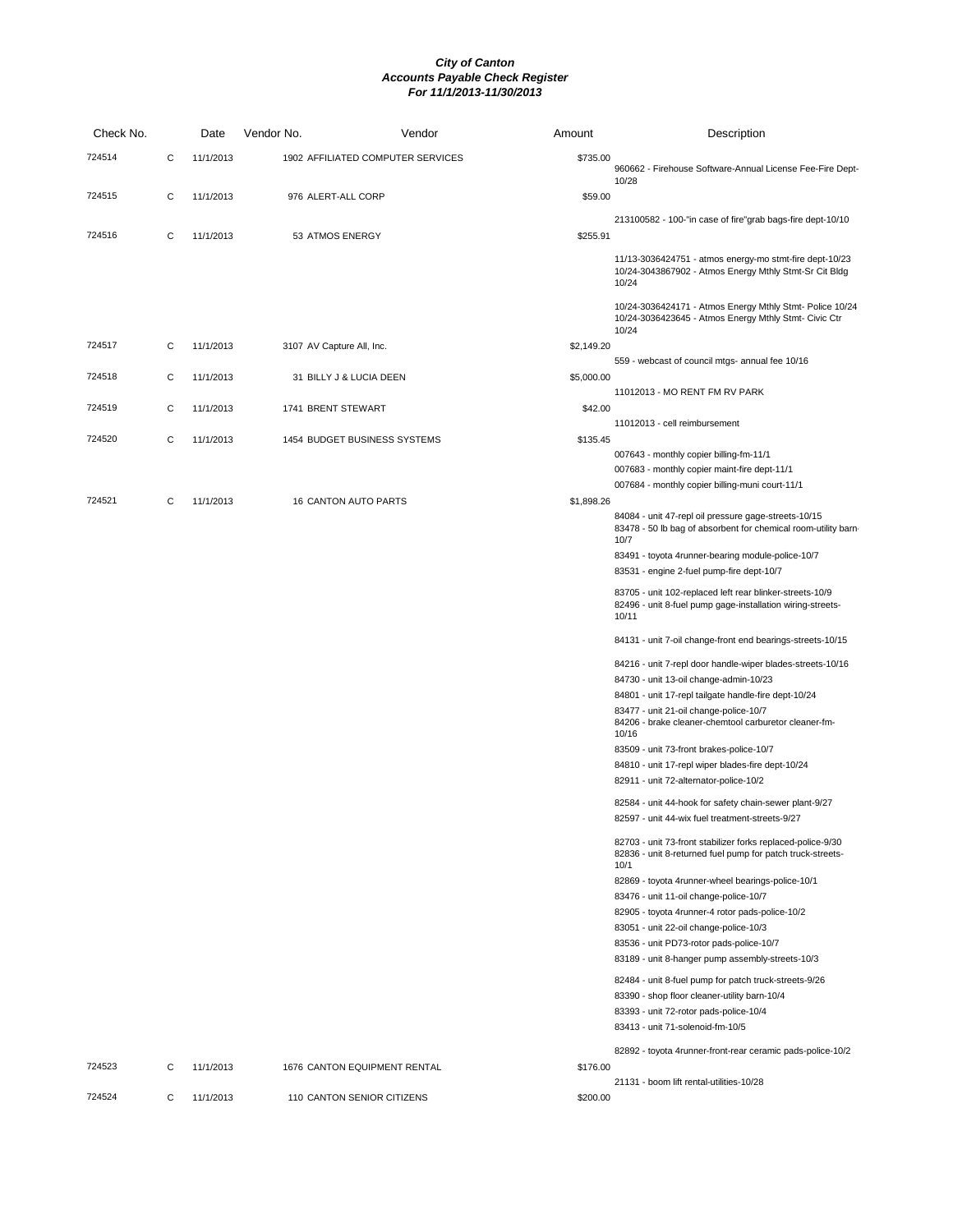| Check No. |   | Date      | Vendor No.                | Vendor                            | Amount     | Description                                                                                                                     |
|-----------|---|-----------|---------------------------|-----------------------------------|------------|---------------------------------------------------------------------------------------------------------------------------------|
| 724514    | С | 11/1/2013 |                           | 1902 AFFILIATED COMPUTER SERVICES | \$735.00   | 960662 - Firehouse Software-Annual License Fee-Fire Dept-<br>10/28                                                              |
| 724515    | С | 11/1/2013 | 976 ALERT-ALL CORP        |                                   | \$59.00    |                                                                                                                                 |
| 724516    | С | 11/1/2013 | 53 ATMOS ENERGY           |                                   | \$255.91   | 213100582 - 100-"in case of fire"grab bags-fire dept-10/10                                                                      |
|           |   |           |                           |                                   |            | 11/13-3036424751 - atmos energy-mo stmt-fire dept-10/23<br>10/24-3043867902 - Atmos Energy Mthly Stmt-Sr Cit Bldg<br>10/24      |
|           |   |           |                           |                                   |            | 10/24-3036424171 - Atmos Energy Mthly Stmt- Police 10/24<br>10/24-3036423645 - Atmos Energy Mthly Stmt- Civic Ctr<br>10/24      |
| 724517    | С | 11/1/2013 | 3107 AV Capture All, Inc. |                                   | \$2,149.20 | 559 - webcast of council mtgs- annual fee 10/16                                                                                 |
| 724518    | С | 11/1/2013 |                           | 31 BILLY J & LUCIA DEEN           | \$5,000.00 |                                                                                                                                 |
| 724519    | С | 11/1/2013 | 1741 BRENT STEWART        |                                   | \$42.00    | 11012013 - MO RENT FM RV PARK                                                                                                   |
| 724520    | С | 11/1/2013 |                           | 1454 BUDGET BUSINESS SYSTEMS      | \$135.45   | 11012013 - cell reimbursement                                                                                                   |
|           |   |           |                           |                                   |            | 007643 - monthly copier billing-fm-11/1<br>007683 - monthly copier maint-fire dept-11/1                                         |
|           |   |           |                           |                                   |            | 007684 - monthly copier billing-muni court-11/1                                                                                 |
| 724521    | С | 11/1/2013 |                           | <b>16 CANTON AUTO PARTS</b>       | \$1,898.26 |                                                                                                                                 |
|           |   |           |                           |                                   |            | 84084 - unit 47-repl oil pressure gage-streets-10/15<br>83478 - 50 lb bag of absorbent for chemical room-utility barn-<br>10/7  |
|           |   |           |                           |                                   |            | 83491 - toyota 4runner-bearing module-police-10/7                                                                               |
|           |   |           |                           |                                   |            | 83531 - engine 2-fuel pump-fire dept-10/7                                                                                       |
|           |   |           |                           |                                   |            | 83705 - unit 102-replaced left rear blinker-streets-10/9<br>82496 - unit 8-fuel pump gage-installation wiring-streets-<br>10/11 |
|           |   |           |                           |                                   |            | 84131 - unit 7-oil change-front end bearings-streets-10/15                                                                      |
|           |   |           |                           |                                   |            | 84216 - unit 7-repl door handle-wiper blades-streets-10/16<br>84730 - unit 13-oil change-admin-10/23                            |
|           |   |           |                           |                                   |            | 84801 - unit 17-repl tailgate handle-fire dept-10/24                                                                            |
|           |   |           |                           |                                   |            | 83477 - unit 21-oil change-police-10/7                                                                                          |
|           |   |           |                           |                                   |            | 84206 - brake cleaner-chemtool carburetor cleaner-fm-<br>10/16                                                                  |
|           |   |           |                           |                                   |            | 83509 - unit 73-front brakes-police-10/7                                                                                        |
|           |   |           |                           |                                   |            | 84810 - unit 17-repl wiper blades-fire dept-10/24<br>82911 - unit 72-alternator-police-10/2                                     |
|           |   |           |                           |                                   |            | 82584 - unit 44-hook for safety chain-sewer plant-9/27                                                                          |
|           |   |           |                           |                                   |            | 82597 - unit 44-wix fuel treatment-streets-9/27                                                                                 |
|           |   |           |                           |                                   |            | 82703 - unit 73-front stabilizer forks replaced-police-9/30<br>82836 - unit 8-returned fuel pump for patch truck-streets-       |
|           |   |           |                           |                                   |            | 10/1<br>82869 - toyota 4runner-wheel bearings-police-10/1                                                                       |
|           |   |           |                           |                                   |            | 83476 - unit 11-oil change-police-10/7                                                                                          |
|           |   |           |                           |                                   |            | 82905 - toyota 4runner-4 rotor pads-police-10/2                                                                                 |
|           |   |           |                           |                                   |            | 83051 - unit 22-oil change-police-10/3                                                                                          |
|           |   |           |                           |                                   |            | 83536 - unit PD73-rotor pads-police-10/7                                                                                        |
|           |   |           |                           |                                   |            | 83189 - unit 8-hanger pump assembly-streets-10/3                                                                                |
|           |   |           |                           |                                   |            | 82484 - unit 8-fuel pump for patch truck-streets-9/26                                                                           |
|           |   |           |                           |                                   |            | 83390 - shop floor cleaner-utility barn-10/4                                                                                    |
|           |   |           |                           |                                   |            | 83393 - unit 72-rotor pads-police-10/4                                                                                          |
|           |   |           |                           |                                   |            | 83413 - unit 71-solenoid-fm-10/5                                                                                                |
| 724523    | С | 11/1/2013 |                           | 1676 CANTON EQUIPMENT RENTAL      | \$176.00   | 82892 - toyota 4runner-front-rear ceramic pads-police-10/2                                                                      |
| 724524    | С | 11/1/2013 |                           | 110 CANTON SENIOR CITIZENS        | \$200.00   | 21131 - boom lift rental-utilities-10/28                                                                                        |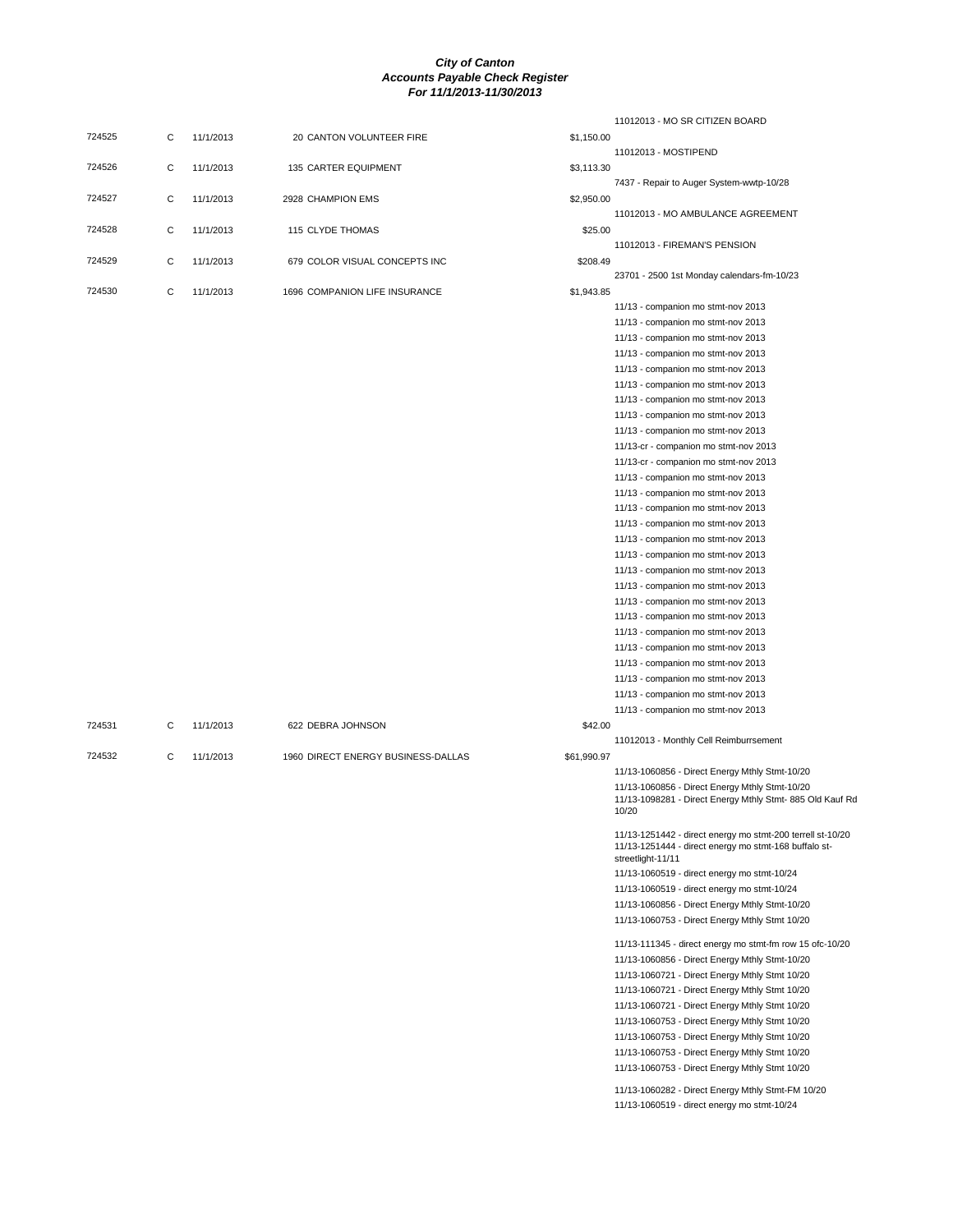|        |   |           |                                    |             | 11012013 - MO SR CITIZEN BOARD                                                                                                           |
|--------|---|-----------|------------------------------------|-------------|------------------------------------------------------------------------------------------------------------------------------------------|
| 724525 | С | 11/1/2013 | 20 CANTON VOLUNTEER FIRE           | \$1,150.00  |                                                                                                                                          |
|        |   |           |                                    |             | 11012013 - MOSTIPEND                                                                                                                     |
| 724526 | C | 11/1/2013 | 135 CARTER EQUIPMENT               | \$3,113.30  |                                                                                                                                          |
|        |   |           |                                    |             | 7437 - Repair to Auger System-wwtp-10/28                                                                                                 |
| 724527 | C | 11/1/2013 | 2928 CHAMPION EMS                  | \$2,950.00  |                                                                                                                                          |
|        |   |           |                                    |             | 11012013 - MO AMBULANCE AGREEMENT                                                                                                        |
| 724528 | C | 11/1/2013 | 115 CLYDE THOMAS                   | \$25.00     |                                                                                                                                          |
|        |   |           |                                    |             | 11012013 - FIREMAN'S PENSION                                                                                                             |
| 724529 | C | 11/1/2013 | 679 COLOR VISUAL CONCEPTS INC      | \$208.49    |                                                                                                                                          |
|        |   |           |                                    |             | 23701 - 2500 1st Monday calendars-fm-10/23                                                                                               |
| 724530 | С | 11/1/2013 | 1696 COMPANION LIFE INSURANCE      | \$1,943.85  |                                                                                                                                          |
|        |   |           |                                    |             | 11/13 - companion mo stmt-nov 2013                                                                                                       |
|        |   |           |                                    |             | 11/13 - companion mo stmt-nov 2013                                                                                                       |
|        |   |           |                                    |             | 11/13 - companion mo stmt-nov 2013                                                                                                       |
|        |   |           |                                    |             | 11/13 - companion mo stmt-nov 2013                                                                                                       |
|        |   |           |                                    |             | 11/13 - companion mo stmt-nov 2013                                                                                                       |
|        |   |           |                                    |             | 11/13 - companion mo stmt-nov 2013                                                                                                       |
|        |   |           |                                    |             | 11/13 - companion mo stmt-nov 2013<br>11/13 - companion mo stmt-nov 2013                                                                 |
|        |   |           |                                    |             |                                                                                                                                          |
|        |   |           |                                    |             | 11/13 - companion mo stmt-nov 2013<br>11/13-cr - companion mo stmt-nov 2013                                                              |
|        |   |           |                                    |             |                                                                                                                                          |
|        |   |           |                                    |             | 11/13-cr - companion mo stmt-nov 2013                                                                                                    |
|        |   |           |                                    |             | 11/13 - companion mo stmt-nov 2013                                                                                                       |
|        |   |           |                                    |             | 11/13 - companion mo stmt-nov 2013<br>11/13 - companion mo stmt-nov 2013                                                                 |
|        |   |           |                                    |             |                                                                                                                                          |
|        |   |           |                                    |             | 11/13 - companion mo stmt-nov 2013                                                                                                       |
|        |   |           |                                    |             | 11/13 - companion mo stmt-nov 2013<br>11/13 - companion mo stmt-nov 2013                                                                 |
|        |   |           |                                    |             | 11/13 - companion mo stmt-nov 2013                                                                                                       |
|        |   |           |                                    |             | 11/13 - companion mo stmt-nov 2013                                                                                                       |
|        |   |           |                                    |             | 11/13 - companion mo stmt-nov 2013                                                                                                       |
|        |   |           |                                    |             | 11/13 - companion mo stmt-nov 2013                                                                                                       |
|        |   |           |                                    |             | 11/13 - companion mo stmt-nov 2013                                                                                                       |
|        |   |           |                                    |             | 11/13 - companion mo stmt-nov 2013                                                                                                       |
|        |   |           |                                    |             | 11/13 - companion mo stmt-nov 2013                                                                                                       |
|        |   |           |                                    |             | 11/13 - companion mo stmt-nov 2013                                                                                                       |
|        |   |           |                                    |             | 11/13 - companion mo stmt-nov 2013                                                                                                       |
|        |   |           |                                    |             | 11/13 - companion mo stmt-nov 2013                                                                                                       |
| 724531 | C | 11/1/2013 | 622 DEBRA JOHNSON                  | \$42.00     |                                                                                                                                          |
|        |   |           |                                    |             | 11012013 - Monthly Cell Reimburrsement                                                                                                   |
| 724532 | С | 11/1/2013 | 1960 DIRECT ENERGY BUSINESS-DALLAS | \$61,990.97 |                                                                                                                                          |
|        |   |           |                                    |             | 11/13-1060856 - Direct Energy Mthly Stmt-10/20                                                                                           |
|        |   |           |                                    |             | 11/13-1060856 - Direct Energy Mthly Stmt-10/20                                                                                           |
|        |   |           |                                    |             | 11/13-1098281 - Direct Energy Mthly Stmt-885 Old Kauf Rd<br>10/20                                                                        |
|        |   |           |                                    |             | 11/13-1251442 - direct energy mo stmt-200 terrell st-10/20<br>11/13-1251444 - direct energy mo stmt-168 buffalo st-<br>streetlight-11/11 |
|        |   |           |                                    |             | 11/13-1060519 - direct energy mo stmt-10/24                                                                                              |
|        |   |           |                                    |             | 11/13-1060519 - direct energy mo stmt-10/24                                                                                              |
|        |   |           |                                    |             | 11/13-1060856 - Direct Energy Mthly Stmt-10/20                                                                                           |
|        |   |           |                                    |             | 11/13-1060753 - Direct Energy Mthly Stmt 10/20                                                                                           |
|        |   |           |                                    |             | 11/13-111345 - direct energy mo stmt-fm row 15 ofc-10/20                                                                                 |
|        |   |           |                                    |             | 11/13-1060856 - Direct Energy Mthly Stmt-10/20                                                                                           |
|        |   |           |                                    |             | 11/13-1060721 - Direct Energy Mthly Stmt 10/20                                                                                           |
|        |   |           |                                    |             | 11/13-1060721 - Direct Energy Mthly Stmt 10/20                                                                                           |
|        |   |           |                                    |             | 11/13-1060721 - Direct Energy Mthly Stmt 10/20                                                                                           |
|        |   |           |                                    |             | 11/13-1060753 - Direct Energy Mthly Stmt 10/20                                                                                           |
|        |   |           |                                    |             | 11/13-1060753 - Direct Energy Mthly Stmt 10/20                                                                                           |
|        |   |           |                                    |             | 11/13-1060753 - Direct Energy Mthly Stmt 10/20                                                                                           |
|        |   |           |                                    |             | 11/13-1060753 - Direct Energy Mthly Stmt 10/20                                                                                           |
|        |   |           |                                    |             |                                                                                                                                          |
|        |   |           |                                    |             | 11/13-1060282 - Direct Energy Mthly Stmt-FM 10/20<br>11/13-1060519 - direct energy mo stmt-10/24                                         |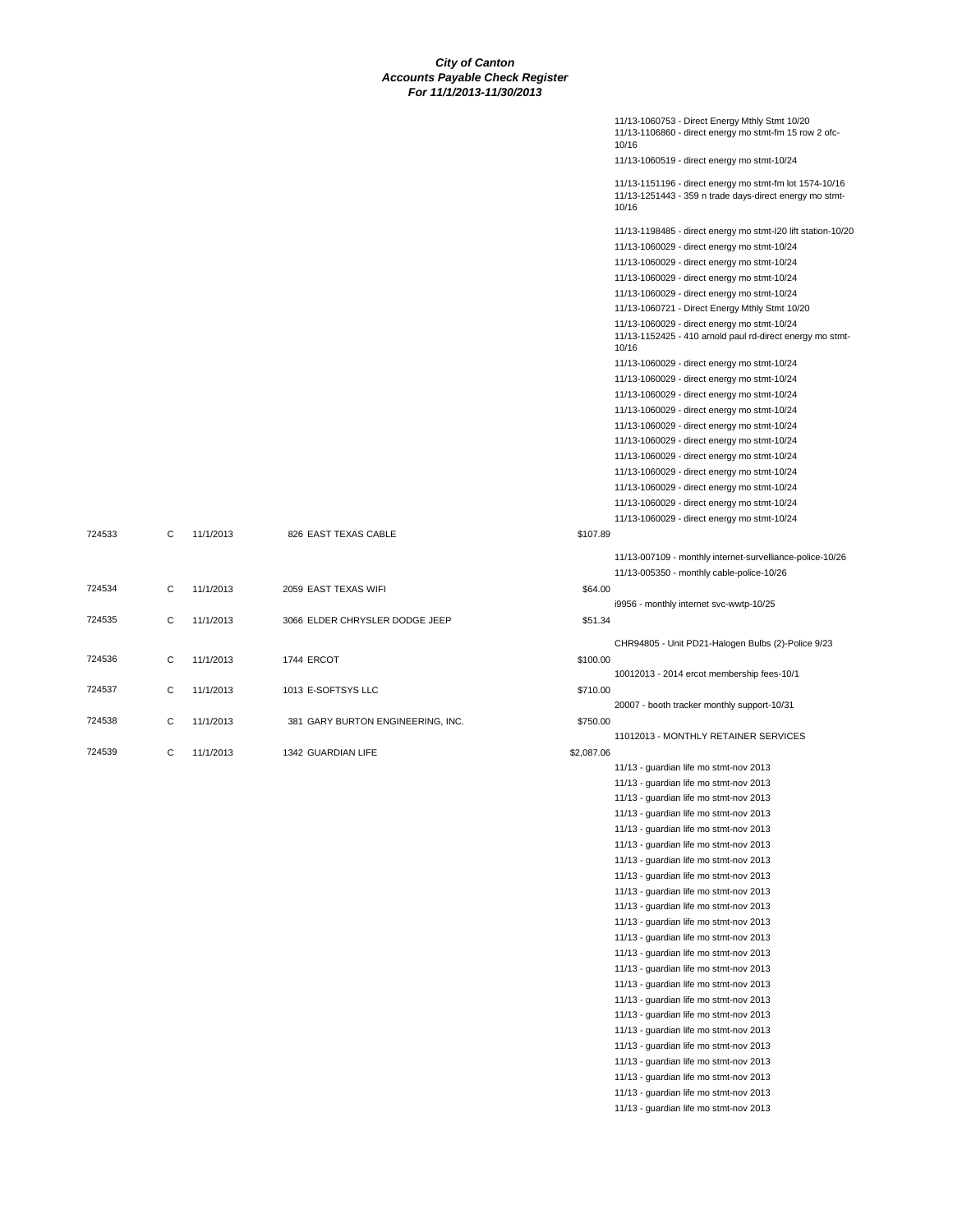|        |   |           |                                   |            | 11/13-1060753 - Direct Energy Mthly Stmt 10/20<br>11/13-1106860 - direct energy mo stmt-fm 15 row 2 ofc-<br>10/16           |
|--------|---|-----------|-----------------------------------|------------|-----------------------------------------------------------------------------------------------------------------------------|
|        |   |           |                                   |            | 11/13-1060519 - direct energy mo stmt-10/24                                                                                 |
|        |   |           |                                   |            | 11/13-1151196 - direct energy mo stmt-fm lot 1574-10/16<br>11/13-1251443 - 359 n trade days-direct energy mo stmt-<br>10/16 |
|        |   |           |                                   |            | 11/13-1198485 - direct energy mo stmt-I20 lift station-10/20                                                                |
|        |   |           |                                   |            | 11/13-1060029 - direct energy mo stmt-10/24                                                                                 |
|        |   |           |                                   |            | 11/13-1060029 - direct energy mo stmt-10/24                                                                                 |
|        |   |           |                                   |            | 11/13-1060029 - direct energy mo stmt-10/24                                                                                 |
|        |   |           |                                   |            | 11/13-1060029 - direct energy mo stmt-10/24                                                                                 |
|        |   |           |                                   |            | 11/13-1060721 - Direct Energy Mthly Stmt 10/20                                                                              |
|        |   |           |                                   |            | 11/13-1060029 - direct energy mo stmt-10/24<br>11/13-1152425 - 410 arnold paul rd-direct energy mo stmt-<br>10/16           |
|        |   |           |                                   |            | 11/13-1060029 - direct energy mo stmt-10/24                                                                                 |
|        |   |           |                                   |            | 11/13-1060029 - direct energy mo stmt-10/24                                                                                 |
|        |   |           |                                   |            | 11/13-1060029 - direct energy mo stmt-10/24                                                                                 |
|        |   |           |                                   |            | 11/13-1060029 - direct energy mo stmt-10/24                                                                                 |
|        |   |           |                                   |            | 11/13-1060029 - direct energy mo stmt-10/24                                                                                 |
|        |   |           |                                   |            | 11/13-1060029 - direct energy mo stmt-10/24                                                                                 |
|        |   |           |                                   |            | 11/13-1060029 - direct energy mo stmt-10/24                                                                                 |
|        |   |           |                                   |            | 11/13-1060029 - direct energy mo stmt-10/24                                                                                 |
|        |   |           |                                   |            | 11/13-1060029 - direct energy mo stmt-10/24                                                                                 |
|        |   |           |                                   |            | 11/13-1060029 - direct energy mo stmt-10/24                                                                                 |
| 724533 | C | 11/1/2013 | 826 EAST TEXAS CABLE              | \$107.89   | 11/13-1060029 - direct energy mo stmt-10/24                                                                                 |
|        |   |           |                                   |            |                                                                                                                             |
|        |   |           |                                   |            | 11/13-007109 - monthly internet-survelliance-police-10/26<br>11/13-005350 - monthly cable-police-10/26                      |
| 724534 | С | 11/1/2013 | 2059 EAST TEXAS WIFI              | \$64.00    |                                                                                                                             |
|        |   |           |                                   |            | i9956 - monthly internet svc-wwtp-10/25                                                                                     |
| 724535 | C | 11/1/2013 | 3066 ELDER CHRYSLER DODGE JEEP    | \$51.34    |                                                                                                                             |
|        |   |           |                                   |            | CHR94805 - Unit PD21-Halogen Bulbs (2)-Police 9/23                                                                          |
| 724536 | С | 11/1/2013 | 1744 ERCOT                        | \$100.00   |                                                                                                                             |
|        |   |           |                                   |            | 10012013 - 2014 ercot membership fees-10/1                                                                                  |
| 724537 | С | 11/1/2013 | 1013 E-SOFTSYS LLC                | \$710.00   |                                                                                                                             |
|        |   |           |                                   |            | 20007 - booth tracker monthly support-10/31                                                                                 |
| 724538 | C | 11/1/2013 | 381 GARY BURTON ENGINEERING, INC. | \$750.00   | 11012013 - MONTHLY RETAINER SERVICES                                                                                        |
| 724539 | C | 11/1/2013 | 1342 GUARDIAN LIFE                | \$2,087.06 |                                                                                                                             |
|        |   |           |                                   |            | 11/13 - guardian life mo stmt-nov 2013                                                                                      |
|        |   |           |                                   |            | 11/13 - guardian life mo stmt-nov 2013                                                                                      |
|        |   |           |                                   |            | 11/13 - guardian life mo stmt-nov 2013                                                                                      |
|        |   |           |                                   |            | 11/13 - guardian life mo stmt-nov 2013                                                                                      |
|        |   |           |                                   |            | 11/13 - guardian life mo stmt-nov 2013                                                                                      |
|        |   |           |                                   |            | 11/13 - guardian life mo stmt-nov 2013                                                                                      |
|        |   |           |                                   |            | 11/13 - guardian life mo stmt-nov 2013                                                                                      |
|        |   |           |                                   |            | 11/13 - guardian life mo stmt-nov 2013                                                                                      |
|        |   |           |                                   |            | 11/13 - guardian life mo stmt-nov 2013                                                                                      |
|        |   |           |                                   |            | 11/13 - guardian life mo stmt-nov 2013                                                                                      |
|        |   |           |                                   |            | 11/13 - guardian life mo stmt-nov 2013                                                                                      |
|        |   |           |                                   |            | 11/13 - guardian life mo stmt-nov 2013                                                                                      |
|        |   |           |                                   |            | 11/13 - guardian life mo stmt-nov 2013                                                                                      |
|        |   |           |                                   |            | 11/13 - guardian life mo stmt-nov 2013                                                                                      |
|        |   |           |                                   |            | 11/13 - guardian life mo stmt-nov 2013                                                                                      |
|        |   |           |                                   |            | 11/13 - guardian life mo stmt-nov 2013                                                                                      |
|        |   |           |                                   |            | 11/13 - guardian life mo stmt-nov 2013                                                                                      |
|        |   |           |                                   |            | 11/13 - guardian life mo stmt-nov 2013<br>11/13 - guardian life mo stmt-nov 2013                                            |
|        |   |           |                                   |            | 11/13 - guardian life mo stmt-nov 2013                                                                                      |
|        |   |           |                                   |            | 11/13 - guardian life mo stmt-nov 2013                                                                                      |
|        |   |           |                                   |            | 11/13 - guardian life mo stmt-nov 2013                                                                                      |
|        |   |           |                                   |            | 11/13 - guardian life mo stmt-nov 2013                                                                                      |
|        |   |           |                                   |            |                                                                                                                             |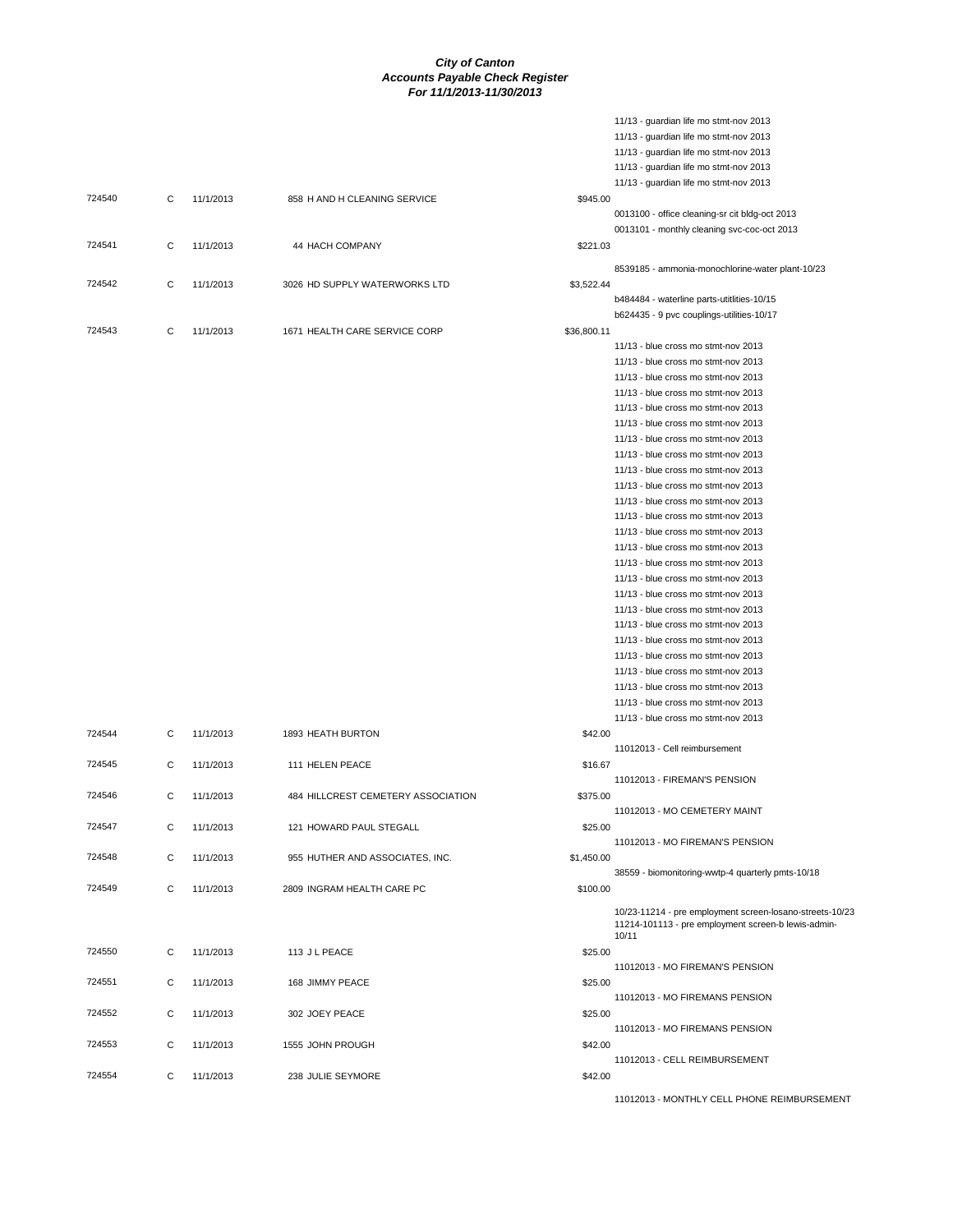11/13 - guardian life mo stmt-nov 2013

|        |   |           |                                    |             | 11/13 - guardian life mo stmt-nov 2013                                                                          |
|--------|---|-----------|------------------------------------|-------------|-----------------------------------------------------------------------------------------------------------------|
|        |   |           |                                    |             | 11/13 - guardian life mo stmt-nov 2013                                                                          |
|        |   |           |                                    |             | 11/13 - guardian life mo stmt-nov 2013                                                                          |
|        |   |           |                                    |             | 11/13 - guardian life mo stmt-nov 2013                                                                          |
| 724540 | C | 11/1/2013 | 858 H AND H CLEANING SERVICE       | \$945.00    |                                                                                                                 |
|        |   |           |                                    |             | 0013100 - office cleaning-sr cit bldg-oct 2013                                                                  |
|        |   |           |                                    |             | 0013101 - monthly cleaning svc-coc-oct 2013                                                                     |
| 724541 | C | 11/1/2013 | 44 HACH COMPANY                    | \$221.03    |                                                                                                                 |
|        |   |           |                                    |             |                                                                                                                 |
|        |   |           |                                    |             | 8539185 - ammonia-monochlorine-water plant-10/23                                                                |
| 724542 | C | 11/1/2013 | 3026 HD SUPPLY WATERWORKS LTD      | \$3,522.44  |                                                                                                                 |
|        |   |           |                                    |             | b484484 - waterline parts-utitlities-10/15                                                                      |
|        |   |           |                                    |             | b624435 - 9 pvc couplings-utilities-10/17                                                                       |
| 724543 | C | 11/1/2013 | 1671 HEALTH CARE SERVICE CORP      | \$36,800.11 |                                                                                                                 |
|        |   |           |                                    |             | 11/13 - blue cross mo stmt-nov 2013                                                                             |
|        |   |           |                                    |             | 11/13 - blue cross mo stmt-nov 2013                                                                             |
|        |   |           |                                    |             | 11/13 - blue cross mo stmt-nov 2013                                                                             |
|        |   |           |                                    |             | 11/13 - blue cross mo stmt-nov 2013                                                                             |
|        |   |           |                                    |             | 11/13 - blue cross mo stmt-nov 2013                                                                             |
|        |   |           |                                    |             | 11/13 - blue cross mo stmt-nov 2013                                                                             |
|        |   |           |                                    |             | 11/13 - blue cross mo stmt-nov 2013                                                                             |
|        |   |           |                                    |             | 11/13 - blue cross mo stmt-nov 2013                                                                             |
|        |   |           |                                    |             | 11/13 - blue cross mo stmt-nov 2013                                                                             |
|        |   |           |                                    |             | 11/13 - blue cross mo stmt-nov 2013                                                                             |
|        |   |           |                                    |             | 11/13 - blue cross mo stmt-nov 2013                                                                             |
|        |   |           |                                    |             | 11/13 - blue cross mo stmt-nov 2013                                                                             |
|        |   |           |                                    |             | 11/13 - blue cross mo stmt-nov 2013                                                                             |
|        |   |           |                                    |             | 11/13 - blue cross mo stmt-nov 2013                                                                             |
|        |   |           |                                    |             | 11/13 - blue cross mo stmt-nov 2013                                                                             |
|        |   |           |                                    |             | 11/13 - blue cross mo stmt-nov 2013                                                                             |
|        |   |           |                                    |             | 11/13 - blue cross mo stmt-nov 2013                                                                             |
|        |   |           |                                    |             | 11/13 - blue cross mo stmt-nov 2013                                                                             |
|        |   |           |                                    |             | 11/13 - blue cross mo stmt-nov 2013                                                                             |
|        |   |           |                                    |             | 11/13 - blue cross mo stmt-nov 2013                                                                             |
|        |   |           |                                    |             | 11/13 - blue cross mo stmt-nov 2013                                                                             |
|        |   |           |                                    |             | 11/13 - blue cross mo stmt-nov 2013                                                                             |
|        |   |           |                                    |             | 11/13 - blue cross mo stmt-nov 2013                                                                             |
|        |   |           |                                    |             | 11/13 - blue cross mo stmt-nov 2013                                                                             |
|        |   |           |                                    |             | 11/13 - blue cross mo stmt-nov 2013                                                                             |
| 724544 | С | 11/1/2013 | 1893 HEATH BURTON                  | \$42.00     |                                                                                                                 |
|        |   |           |                                    |             | 11012013 - Cell reimbursement                                                                                   |
| 724545 | C | 11/1/2013 | 111 HELEN PEACE                    | \$16.67     |                                                                                                                 |
|        |   |           |                                    |             | 11012013 - FIREMAN'S PENSION                                                                                    |
| 724546 | C | 11/1/2013 | 484 HILLCREST CEMETERY ASSOCIATION | \$375.00    |                                                                                                                 |
|        |   |           |                                    |             | 11012013 - MO CEMETERY MAINT                                                                                    |
| 724547 | С | 11/1/2013 | 121 HOWARD PAUL STEGALL            | \$25.00     |                                                                                                                 |
|        |   |           |                                    |             | 11012013 - MO FIREMAN'S PENSION                                                                                 |
| 724548 | C | 11/1/2013 | 955 HUTHER AND ASSOCIATES, INC.    | \$1,450.00  |                                                                                                                 |
|        |   |           |                                    |             | 38559 - biomonitoring-wwtp-4 quarterly pmts-10/18                                                               |
| 724549 | C | 11/1/2013 | 2809 INGRAM HEALTH CARE PC         | \$100.00    |                                                                                                                 |
|        |   |           |                                    |             |                                                                                                                 |
|        |   |           |                                    |             | 10/23-11214 - pre employment screen-losano-streets-10/23<br>11214-101113 - pre employment screen-b lewis-admin- |
|        |   |           |                                    |             | 10/11                                                                                                           |
| 724550 | C | 11/1/2013 | 113 J L PEACE                      | \$25.00     |                                                                                                                 |
|        |   |           |                                    |             | 11012013 - MO FIREMAN'S PENSION                                                                                 |
| 724551 | C | 11/1/2013 | 168 JIMMY PEACE                    | \$25.00     |                                                                                                                 |
|        |   |           |                                    |             | 11012013 - MO FIREMANS PENSION                                                                                  |
| 724552 | C | 11/1/2013 | 302 JOEY PEACE                     | \$25.00     |                                                                                                                 |
|        |   |           |                                    |             | 11012013 - MO FIREMANS PENSION                                                                                  |
| 724553 | C | 11/1/2013 | 1555 JOHN PROUGH                   | \$42.00     |                                                                                                                 |
|        |   |           |                                    |             | 11012013 - CELL REIMBURSEMENT                                                                                   |
| 724554 | C | 11/1/2013 | 238 JULIE SEYMORE                  | \$42.00     |                                                                                                                 |
|        |   |           |                                    |             |                                                                                                                 |

11012013 - MONTHLY CELL PHONE REIMBURSEMENT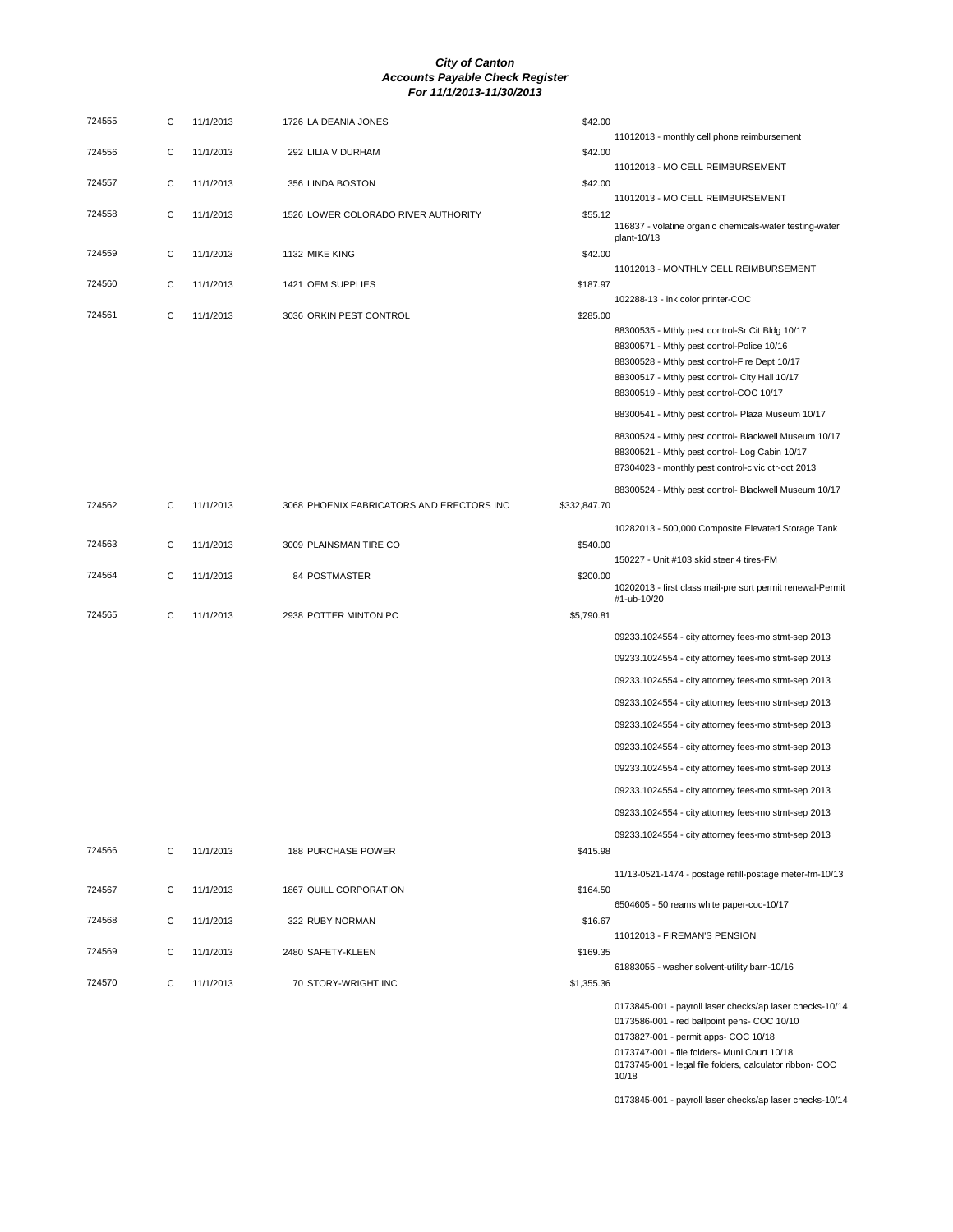| 724555 | С | 11/1/2013 | 1726 LA DEANIA JONES                      | \$42.00      |                                                                                                                                                                                                                                                                      |
|--------|---|-----------|-------------------------------------------|--------------|----------------------------------------------------------------------------------------------------------------------------------------------------------------------------------------------------------------------------------------------------------------------|
| 724556 | C | 11/1/2013 | 292 LILIA V DURHAM                        | \$42.00      | 11012013 - monthly cell phone reimbursement                                                                                                                                                                                                                          |
| 724557 | С | 11/1/2013 | 356 LINDA BOSTON                          | \$42.00      | 11012013 - MO CELL REIMBURSEMENT                                                                                                                                                                                                                                     |
| 724558 | C | 11/1/2013 | 1526 LOWER COLORADO RIVER AUTHORITY       | \$55.12      | 11012013 - MO CELL REIMBURSEMENT<br>116837 - volatine organic chemicals-water testing-water                                                                                                                                                                          |
| 724559 | С | 11/1/2013 | 1132 MIKE KING                            | \$42.00      | plant-10/13                                                                                                                                                                                                                                                          |
| 724560 | C | 11/1/2013 | 1421 OEM SUPPLIES                         | \$187.97     | 11012013 - MONTHLY CELL REIMBURSEMENT                                                                                                                                                                                                                                |
| 724561 | C | 11/1/2013 | 3036 ORKIN PEST CONTROL                   | \$285.00     | 102288-13 - ink color printer-COC                                                                                                                                                                                                                                    |
|        |   |           |                                           |              | 88300535 - Mthly pest control-Sr Cit Bldg 10/17<br>88300571 - Mthly pest control-Police 10/16<br>88300528 - Mthly pest control-Fire Dept 10/17<br>88300517 - Mthly pest control- City Hall 10/17<br>88300519 - Mthly pest control-COC 10/17                          |
|        |   |           |                                           |              | 88300541 - Mthly pest control- Plaza Museum 10/17                                                                                                                                                                                                                    |
|        |   |           |                                           |              | 88300524 - Mthly pest control- Blackwell Museum 10/17<br>88300521 - Mthly pest control- Log Cabin 10/17<br>87304023 - monthly pest control-civic ctr-oct 2013                                                                                                        |
|        |   |           |                                           |              | 88300524 - Mthly pest control- Blackwell Museum 10/17                                                                                                                                                                                                                |
| 724562 | С | 11/1/2013 | 3068 PHOENIX FABRICATORS AND ERECTORS INC | \$332,847.70 |                                                                                                                                                                                                                                                                      |
| 724563 | C | 11/1/2013 | 3009 PLAINSMAN TIRE CO                    | \$540.00     | 10282013 - 500,000 Composite Elevated Storage Tank                                                                                                                                                                                                                   |
| 724564 | C | 11/1/2013 | 84 POSTMASTER                             | \$200.00     | 150227 - Unit #103 skid steer 4 tires-FM<br>10202013 - first class mail-pre sort permit renewal-Permit<br>#1-ub-10/20                                                                                                                                                |
| 724565 | C | 11/1/2013 | 2938 POTTER MINTON PC                     | \$5,790.81   |                                                                                                                                                                                                                                                                      |
|        |   |           |                                           |              | 09233.1024554 - city attorney fees-mo stmt-sep 2013                                                                                                                                                                                                                  |
|        |   |           |                                           |              | 09233.1024554 - city attorney fees-mo stmt-sep 2013                                                                                                                                                                                                                  |
|        |   |           |                                           |              | 09233.1024554 - city attorney fees-mo stmt-sep 2013                                                                                                                                                                                                                  |
|        |   |           |                                           |              | 09233.1024554 - city attorney fees-mo stmt-sep 2013                                                                                                                                                                                                                  |
|        |   |           |                                           |              | 09233.1024554 - city attorney fees-mo stmt-sep 2013                                                                                                                                                                                                                  |
|        |   |           |                                           |              | 09233.1024554 - city attorney fees-mo stmt-sep 2013                                                                                                                                                                                                                  |
|        |   |           |                                           |              | 09233.1024554 - city attorney fees-mo stmt-sep 2013                                                                                                                                                                                                                  |
|        |   |           |                                           |              | 09233.1024554 - city attorney fees-mo stmt-sep 2013                                                                                                                                                                                                                  |
|        |   |           |                                           |              | 09233.1024554 - city attorney fees-mo stmt-sep 2013                                                                                                                                                                                                                  |
|        |   |           |                                           |              | 09233.1024554 - city attorney fees-mo stmt-sep 2013                                                                                                                                                                                                                  |
| 724566 | С | 11/1/2013 | <b>188 PURCHASE POWER</b>                 | \$415.98     |                                                                                                                                                                                                                                                                      |
| 724567 | С | 11/1/2013 | 1867 QUILL CORPORATION                    | \$164.50     | 11/13-0521-1474 - postage refill-postage meter-fm-10/13                                                                                                                                                                                                              |
| 724568 | С | 11/1/2013 | 322 RUBY NORMAN                           | \$16.67      | 6504605 - 50 reams white paper-coc-10/17                                                                                                                                                                                                                             |
| 724569 | С | 11/1/2013 | 2480 SAFETY-KLEEN                         | \$169.35     | 11012013 - FIREMAN'S PENSION                                                                                                                                                                                                                                         |
|        |   |           |                                           |              | 61883055 - washer solvent-utility barn-10/16                                                                                                                                                                                                                         |
| 724570 | C | 11/1/2013 | 70 STORY-WRIGHT INC                       | \$1,355.36   |                                                                                                                                                                                                                                                                      |
|        |   |           |                                           |              | 0173845-001 - payroll laser checks/ap laser checks-10/14<br>0173586-001 - red ballpoint pens- COC 10/10<br>0173827-001 - permit apps- COC 10/18<br>0173747-001 - file folders- Muni Court 10/18<br>0173745-001 - legal file folders, calculator ribbon- COC<br>10/18 |
|        |   |           |                                           |              |                                                                                                                                                                                                                                                                      |

0173845-001 - payroll laser checks/ap laser checks-10/14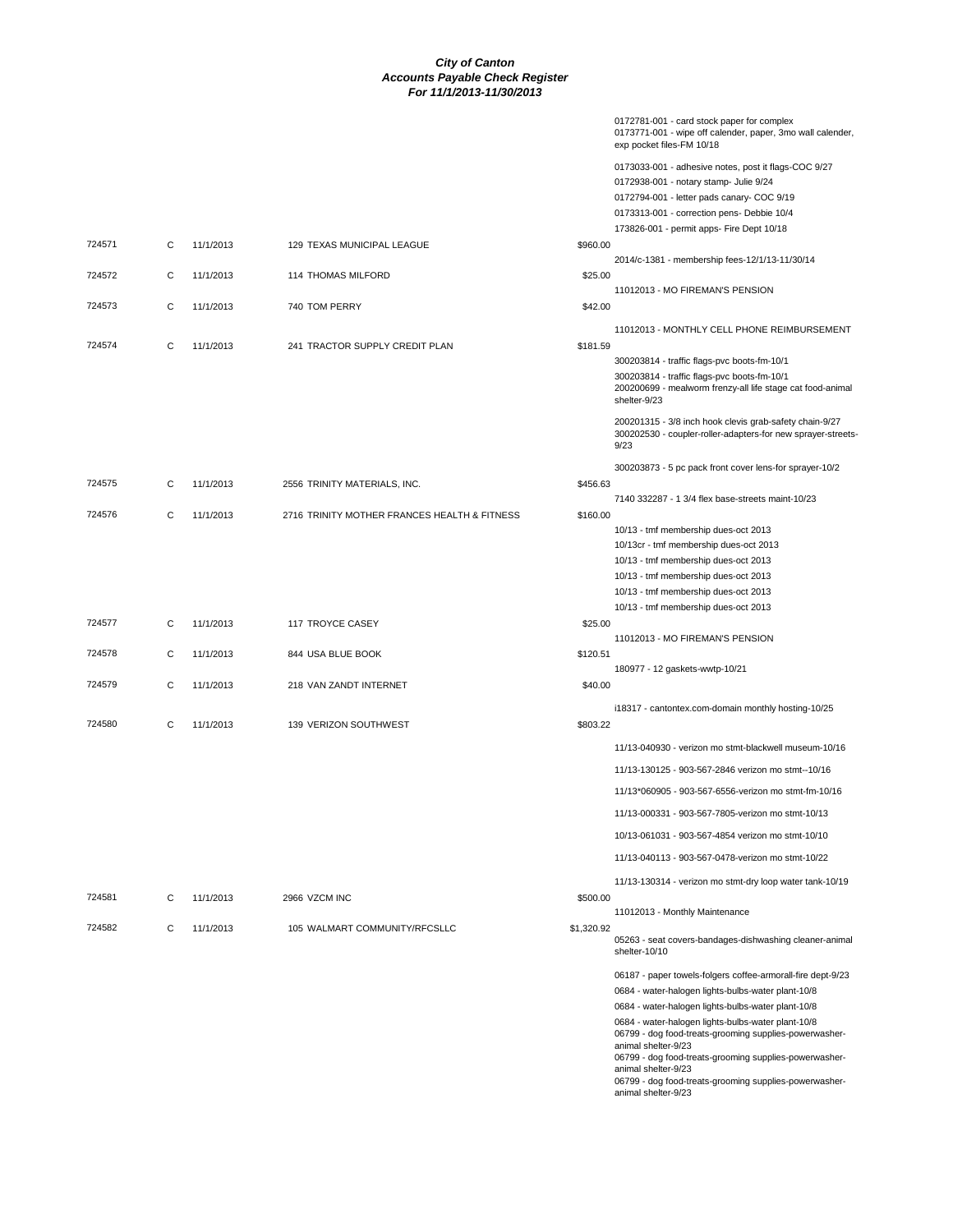|        |   |           |                                              |            | 0172781-001 - card stock paper for complex<br>0173771-001 - wipe off calender, paper, 3mo wall calender,<br>exp pocket files-FM 10/18 |
|--------|---|-----------|----------------------------------------------|------------|---------------------------------------------------------------------------------------------------------------------------------------|
|        |   |           |                                              |            | 0173033-001 - adhesive notes, post it flags-COC 9/27                                                                                  |
|        |   |           |                                              |            | 0172938-001 - notary stamp- Julie 9/24                                                                                                |
|        |   |           |                                              |            | 0172794-001 - letter pads canary- COC 9/19                                                                                            |
|        |   |           |                                              |            | 0173313-001 - correction pens- Debbie 10/4                                                                                            |
|        |   |           |                                              |            | 173826-001 - permit apps- Fire Dept 10/18                                                                                             |
| 724571 | С | 11/1/2013 | 129 TEXAS MUNICIPAL LEAGUE                   | \$960.00   |                                                                                                                                       |
|        |   |           |                                              |            | 2014/c-1381 - membership fees-12/1/13-11/30/14                                                                                        |
| 724572 | С | 11/1/2013 | 114 THOMAS MILFORD                           | \$25.00    |                                                                                                                                       |
|        |   |           |                                              |            | 11012013 - MO FIREMAN'S PENSION                                                                                                       |
| 724573 | C | 11/1/2013 | 740 TOM PERRY                                | \$42.00    |                                                                                                                                       |
|        |   |           |                                              |            | 11012013 - MONTHLY CELL PHONE REIMBURSEMENT                                                                                           |
| 724574 | C | 11/1/2013 | 241 TRACTOR SUPPLY CREDIT PLAN               | \$181.59   |                                                                                                                                       |
|        |   |           |                                              |            | 300203814 - traffic flags-pvc boots-fm-10/1                                                                                           |
|        |   |           |                                              |            | 300203814 - traffic flags-pvc boots-fm-10/1                                                                                           |
|        |   |           |                                              |            | 200200699 - mealworm frenzy-all life stage cat food-animal<br>shelter-9/23                                                            |
|        |   |           |                                              |            | 200201315 - 3/8 inch hook clevis grab-safety chain-9/27<br>300202530 - coupler-roller-adapters-for new sprayer-streets<br>9/23        |
|        |   |           |                                              |            | 300203873 - 5 pc pack front cover lens-for sprayer-10/2                                                                               |
| 724575 | С | 11/1/2013 | 2556 TRINITY MATERIALS, INC.                 | \$456.63   |                                                                                                                                       |
|        |   |           |                                              |            | 7140 332287 - 1 3/4 flex base-streets maint-10/23                                                                                     |
| 724576 | С | 11/1/2013 | 2716 TRINITY MOTHER FRANCES HEALTH & FITNESS | \$160.00   |                                                                                                                                       |
|        |   |           |                                              |            | 10/13 - tmf membership dues-oct 2013                                                                                                  |
|        |   |           |                                              |            | 10/13cr - tmf membership dues-oct 2013                                                                                                |
|        |   |           |                                              |            | 10/13 - tmf membership dues-oct 2013                                                                                                  |
|        |   |           |                                              |            | 10/13 - tmf membership dues-oct 2013                                                                                                  |
|        |   |           |                                              |            | 10/13 - tmf membership dues-oct 2013                                                                                                  |
|        |   |           |                                              |            | 10/13 - tmf membership dues-oct 2013                                                                                                  |
| 724577 | С | 11/1/2013 | 117 TROYCE CASEY                             | \$25.00    |                                                                                                                                       |
|        |   |           |                                              |            | 11012013 - MO FIREMAN'S PENSION                                                                                                       |
| 724578 | С | 11/1/2013 | 844 USA BLUE BOOK                            | \$120.51   |                                                                                                                                       |
| 724579 | С | 11/1/2013 | 218 VAN ZANDT INTERNET                       | \$40.00    | 180977 - 12 gaskets-wwtp-10/21                                                                                                        |
|        |   |           |                                              |            |                                                                                                                                       |
|        |   |           |                                              |            | i18317 - cantontex.com-domain monthly hosting-10/25                                                                                   |
| 724580 | С | 11/1/2013 | 139 VERIZON SOUTHWEST                        | \$803.22   |                                                                                                                                       |
|        |   |           |                                              |            | 11/13-040930 - verizon mo stmt-blackwell museum-10/16                                                                                 |
|        |   |           |                                              |            | 11/13-130125 - 903-567-2846 verizon mo stmt--10/16                                                                                    |
|        |   |           |                                              |            | 11/13*060905 - 903-567-6556-verizon mo stmt-fm-10/16                                                                                  |
|        |   |           |                                              |            |                                                                                                                                       |
|        |   |           |                                              |            | 11/13-000331 - 903-567-7805-verizon mo stmt-10/13                                                                                     |
|        |   |           |                                              |            | 10/13-061031 - 903-567-4854 verizon mo stmt-10/10                                                                                     |
|        |   |           |                                              |            | 11/13-040113 - 903-567-0478-verizon mo stmt-10/22                                                                                     |
| 724581 | С | 11/1/2013 | 2966 VZCM INC                                | \$500.00   | 11/13-130314 - verizon mo stmt-dry loop water tank-10/19                                                                              |
|        |   |           |                                              |            | 11012013 - Monthly Maintenance                                                                                                        |
| 724582 | С | 11/1/2013 | 105 WALMART COMMUNITY/RFCSLLC                | \$1,320.92 | 05263 - seat covers-bandages-dishwashing cleaner-animal<br>shelter-10/10                                                              |
|        |   |           |                                              |            | 06187 - paper towels-folgers coffee-armorall-fire dept-9/23                                                                           |
|        |   |           |                                              |            | 0684 - water-halogen lights-bulbs-water plant-10/8                                                                                    |
|        |   |           |                                              |            | 0684 - water-halogen lights-bulbs-water plant-10/8                                                                                    |
|        |   |           |                                              |            | 0684 - water-halogen lights-bulbs-water plant-10/8                                                                                    |
|        |   |           |                                              |            | 06799 - dog food-treats-grooming supplies-powerwasher-                                                                                |
|        |   |           |                                              |            | animal shelter-9/23                                                                                                                   |
|        |   |           |                                              |            | 06799 - dog food-treats-grooming supplies-powerwasher-<br>animal shelter-9/23                                                         |
|        |   |           |                                              |            | 06799 - dog food-treats-grooming supplies-powerwasher-<br>animal shelter-9/23                                                         |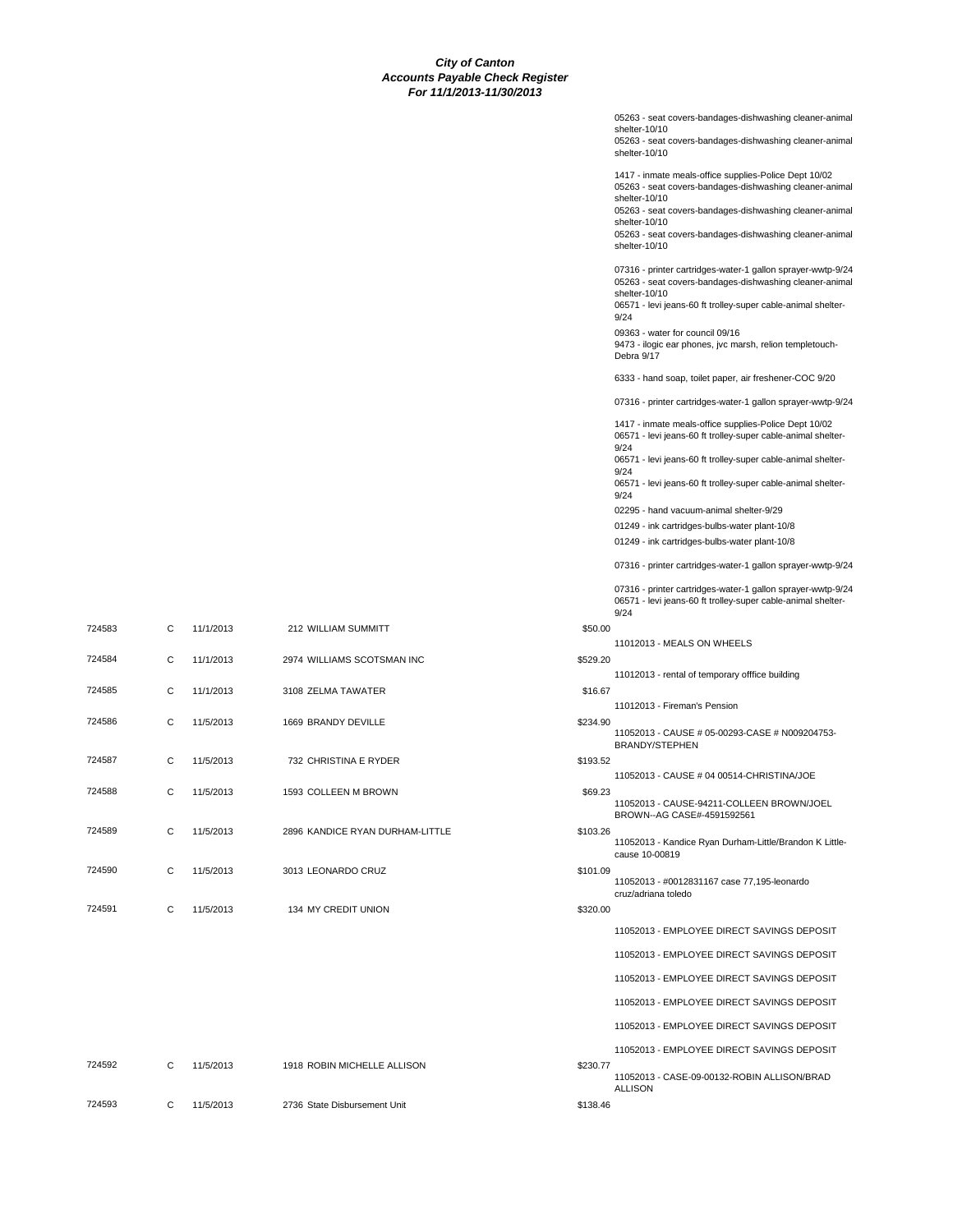|          | 05263 - seat covers-bandages-dishwashing cleaner-animal                                                                                                                                                 |
|----------|---------------------------------------------------------------------------------------------------------------------------------------------------------------------------------------------------------|
|          | shelter-10/10<br>05263 - seat covers-bandages-dishwashing cleaner-animal<br>shelter-10/10                                                                                                               |
|          | 1417 - inmate meals-office supplies-Police Dept 10/02<br>05263 - seat covers-bandages-dishwashing cleaner-animal<br>shelter-10/10                                                                       |
|          | 05263 - seat covers-bandages-dishwashing cleaner-animal<br>shelter-10/10                                                                                                                                |
|          | 05263 - seat covers-bandages-dishwashing cleaner-animal<br>shelter-10/10                                                                                                                                |
|          | 07316 - printer cartridges-water-1 gallon sprayer-wwtp-9/24<br>05263 - seat covers-bandages-dishwashing cleaner-animal<br>shelter-10/10<br>06571 - levi jeans-60 ft trolley-super cable-animal shelter- |
|          | 9/24<br>09363 - water for council 09/16                                                                                                                                                                 |
|          | 9473 - ilogic ear phones, jvc marsh, relion templetouch-<br>Debra 9/17                                                                                                                                  |
|          | 6333 - hand soap, toilet paper, air freshener-COC 9/20                                                                                                                                                  |
|          | 07316 - printer cartridges-water-1 gallon sprayer-wwtp-9/24                                                                                                                                             |
|          | 1417 - inmate meals-office supplies-Police Dept 10/02<br>06571 - levi jeans-60 ft trolley-super cable-animal shelter-<br>9/24                                                                           |
|          | 06571 - levi jeans-60 ft trolley-super cable-animal shelter-<br>9/24                                                                                                                                    |
|          | 06571 - levi jeans-60 ft trolley-super cable-animal shelter-<br>9/24                                                                                                                                    |
|          | 02295 - hand vacuum-animal shelter-9/29                                                                                                                                                                 |
|          | 01249 - ink cartridges-bulbs-water plant-10/8<br>01249 - ink cartridges-bulbs-water plant-10/8                                                                                                          |
|          | 07316 - printer cartridges-water-1 gallon sprayer-wwtp-9/24                                                                                                                                             |
|          | 07316 - printer cartridges-water-1 gallon sprayer-wwtp-9/24                                                                                                                                             |
|          | 06571 - levi jeans-60 ft trolley-super cable-animal shelter-<br>9/24                                                                                                                                    |
| \$50.00  | 11012013 - MEALS ON WHEELS                                                                                                                                                                              |
| \$529.20 |                                                                                                                                                                                                         |
| \$16.67  | 11012013 - rental of temporary offfice building                                                                                                                                                         |
|          | 11012013 - Fireman's Pension                                                                                                                                                                            |
| \$234.90 | 11052013 - CAUSE # 05-00293-CASE # N009204753-<br><b>BRANDY/STEPHEN</b>                                                                                                                                 |
| \$193.52 | 11052013 - CAUSE # 04 00514-CHRISTINA/JOE                                                                                                                                                               |
| \$69.23  | 11052013 - CAUSE-94211-COLLEEN BROWN/JOEL<br>BROWN--AG CASE#-4591592561                                                                                                                                 |
| \$103.26 | 11052013 - Kandice Ryan Durham-Little/Brandon K Little-<br>cause 10-00819                                                                                                                               |
| \$101.09 | 11052013 - #0012831167 case 77,195-leonardo<br>cruz/adriana toledo                                                                                                                                      |
| \$320.00 |                                                                                                                                                                                                         |
|          | 11052013 - EMPLOYEE DIRECT SAVINGS DEPOSIT                                                                                                                                                              |
|          | 11052013 - EMPLOYEE DIRECT SAVINGS DEPOSIT                                                                                                                                                              |
|          | 11052013 - EMPLOYEE DIRECT SAVINGS DEPOSIT                                                                                                                                                              |
|          | 11052013 - EMPLOYEE DIRECT SAVINGS DEPOSIT                                                                                                                                                              |
|          | 11052013 - EMPLOYEE DIRECT SAVINGS DEPOSIT                                                                                                                                                              |
|          | 11052013 - EMPLOYEE DIRECT SAVINGS DEPOSIT                                                                                                                                                              |
| \$230.77 | 11052013 - CASE-09-00132-ROBIN ALLISON/BRAD<br><b>ALLISON</b>                                                                                                                                           |
| \$138.46 |                                                                                                                                                                                                         |

| 724583 | C | 11/1/2013 | 212 WILLIAM SUMMITT             | \$50.00  |
|--------|---|-----------|---------------------------------|----------|
| 724584 | C | 11/1/2013 | 2974 WILLIAMS SCOTSMAN INC      | \$529.20 |
| 724585 | C | 11/1/2013 | 3108 ZELMA TAWATER              | \$16.67  |
| 724586 | C | 11/5/2013 | 1669 BRANDY DEVILLE             | \$234.90 |
| 724587 | C | 11/5/2013 | 732 CHRISTINA E RYDER           | \$193.52 |
| 724588 | C | 11/5/2013 | 1593 COLLEEN M BROWN            | \$69.23  |
| 724589 | C | 11/5/2013 | 2896 KANDICE RYAN DURHAM-LITTLE | \$103.26 |
| 724590 | C | 11/5/2013 | 3013 LEONARDO CRUZ              | \$101.09 |
| 724591 | C | 11/5/2013 | 134 MY CREDIT UNION             | \$320.00 |

724592 C 11/5/2013 1918 ROBIN MICHELLE ALLISON 724593 C 11/5/2013 2736 State Disbursement Unit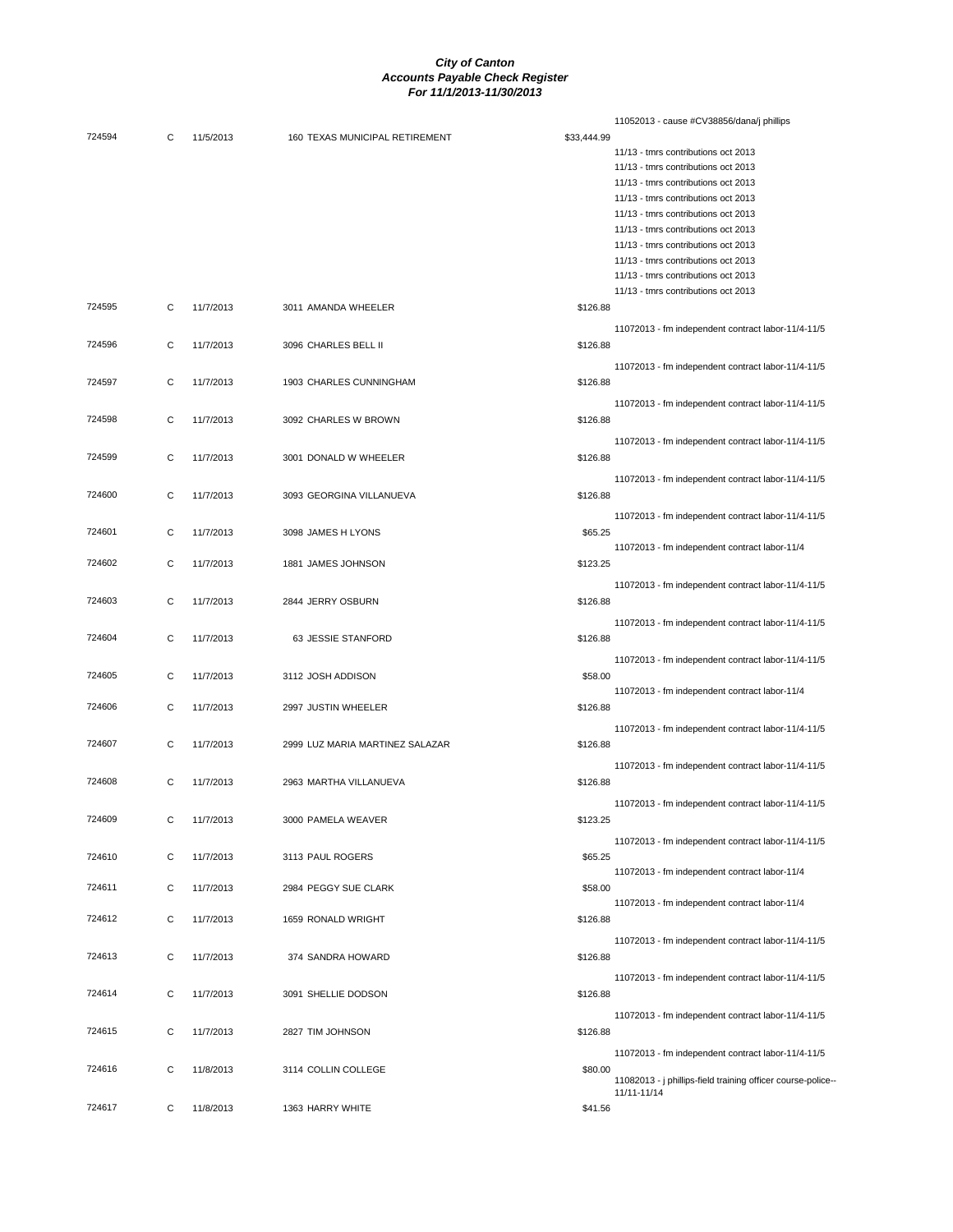|        |   |           |                                 |             | 11052013 - cause #CV38856/dana/j phillips                   |
|--------|---|-----------|---------------------------------|-------------|-------------------------------------------------------------|
| 724594 | C | 11/5/2013 | 160 TEXAS MUNICIPAL RETIREMENT  | \$33,444.99 |                                                             |
|        |   |           |                                 |             | 11/13 - tmrs contributions oct 2013                         |
|        |   |           |                                 |             | 11/13 - tmrs contributions oct 2013                         |
|        |   |           |                                 |             | 11/13 - tmrs contributions oct 2013                         |
|        |   |           |                                 |             | 11/13 - tmrs contributions oct 2013                         |
|        |   |           |                                 |             | 11/13 - tmrs contributions oct 2013                         |
|        |   |           |                                 |             | 11/13 - tmrs contributions oct 2013                         |
|        |   |           |                                 |             |                                                             |
|        |   |           |                                 |             | 11/13 - tmrs contributions oct 2013                         |
|        |   |           |                                 |             | 11/13 - tmrs contributions oct 2013                         |
|        |   |           |                                 |             | 11/13 - tmrs contributions oct 2013                         |
|        |   |           |                                 |             | 11/13 - tmrs contributions oct 2013                         |
| 724595 | C | 11/7/2013 | 3011 AMANDA WHEELER             | \$126.88    |                                                             |
|        |   |           |                                 |             | 11072013 - fm independent contract labor-11/4-11/5          |
| 724596 | C |           |                                 |             |                                                             |
|        |   | 11/7/2013 | 3096 CHARLES BELL II            | \$126.88    |                                                             |
|        |   |           |                                 |             | 11072013 - fm independent contract labor-11/4-11/5          |
| 724597 | C | 11/7/2013 | 1903 CHARLES CUNNINGHAM         | \$126.88    |                                                             |
|        |   |           |                                 |             |                                                             |
|        |   |           |                                 |             | 11072013 - fm independent contract labor-11/4-11/5          |
| 724598 | C | 11/7/2013 | 3092 CHARLES W BROWN            | \$126.88    |                                                             |
|        |   |           |                                 |             | 11072013 - fm independent contract labor-11/4-11/5          |
| 724599 | C | 11/7/2013 | 3001 DONALD W WHEELER           | \$126.88    |                                                             |
|        |   |           |                                 |             |                                                             |
|        |   |           |                                 |             | 11072013 - fm independent contract labor-11/4-11/5          |
| 724600 | С | 11/7/2013 | 3093 GEORGINA VILLANUEVA        | \$126.88    |                                                             |
|        |   |           |                                 |             |                                                             |
|        |   |           |                                 |             | 11072013 - fm independent contract labor-11/4-11/5          |
| 724601 | C | 11/7/2013 | 3098 JAMES H LYONS              | \$65.25     |                                                             |
|        |   |           |                                 |             | 11072013 - fm independent contract labor-11/4               |
| 724602 | C | 11/7/2013 | 1881 JAMES JOHNSON              | \$123.25    |                                                             |
|        |   |           |                                 |             | 11072013 - fm independent contract labor-11/4-11/5          |
| 724603 | C | 11/7/2013 | 2844 JERRY OSBURN               | \$126.88    |                                                             |
|        |   |           |                                 |             |                                                             |
|        |   |           |                                 |             | 11072013 - fm independent contract labor-11/4-11/5          |
| 724604 | C | 11/7/2013 | 63 JESSIE STANFORD              | \$126.88    |                                                             |
|        |   |           |                                 |             |                                                             |
|        |   |           |                                 |             | 11072013 - fm independent contract labor-11/4-11/5          |
| 724605 | C | 11/7/2013 | 3112 JOSH ADDISON               | \$58.00     |                                                             |
|        |   |           |                                 |             | 11072013 - fm independent contract labor-11/4               |
| 724606 | C | 11/7/2013 | 2997 JUSTIN WHEELER             | \$126.88    |                                                             |
|        |   |           |                                 |             | 11072013 - fm independent contract labor-11/4-11/5          |
| 724607 | C | 11/7/2013 | 2999 LUZ MARIA MARTINEZ SALAZAR | \$126.88    |                                                             |
|        |   |           |                                 |             |                                                             |
|        |   |           |                                 |             | 11072013 - fm independent contract labor-11/4-11/5          |
| 724608 | C | 11/7/2013 | 2963 MARTHA VILLANUEVA          | \$126.88    |                                                             |
|        |   |           |                                 |             |                                                             |
|        |   |           |                                 |             | 11072013 - fm independent contract labor-11/4-11/5          |
| 724609 | С | 11/7/2013 | 3000 PAMELA WEAVER              | \$123.25    |                                                             |
|        |   |           |                                 |             | 11072013 - fm independent contract labor-11/4-11/5          |
| 724610 | С | 11/7/2013 | 3113 PAUL ROGERS                | \$65.25     |                                                             |
|        |   |           |                                 |             | 11072013 - fm independent contract labor-11/4               |
| 724611 |   | 11/7/2013 |                                 |             |                                                             |
|        | C |           | 2984 PEGGY SUE CLARK            | \$58.00     |                                                             |
|        |   |           |                                 |             | 11072013 - fm independent contract labor-11/4               |
| 724612 | С | 11/7/2013 | 1659 RONALD WRIGHT              | \$126.88    |                                                             |
|        |   |           |                                 |             | 11072013 - fm independent contract labor-11/4-11/5          |
| 724613 | C | 11/7/2013 | 374 SANDRA HOWARD               | \$126.88    |                                                             |
|        |   |           |                                 |             |                                                             |
|        |   |           |                                 |             | 11072013 - fm independent contract labor-11/4-11/5          |
| 724614 | C | 11/7/2013 | 3091 SHELLIE DODSON             | \$126.88    |                                                             |
|        |   |           |                                 |             | 11072013 - fm independent contract labor-11/4-11/5          |
| 724615 |   |           |                                 |             |                                                             |
|        | C | 11/7/2013 | 2827 TIM JOHNSON                | \$126.88    |                                                             |
|        |   |           |                                 |             | 11072013 - fm independent contract labor-11/4-11/5          |
| 724616 | С | 11/8/2013 | 3114 COLLIN COLLEGE             | \$80.00     |                                                             |
|        |   |           |                                 |             | 11082013 - j phillips-field training officer course-police- |
|        |   |           |                                 |             | 11/11-11/14                                                 |
| 724617 | С | 11/8/2013 | 1363 HARRY WHITE                | \$41.56     |                                                             |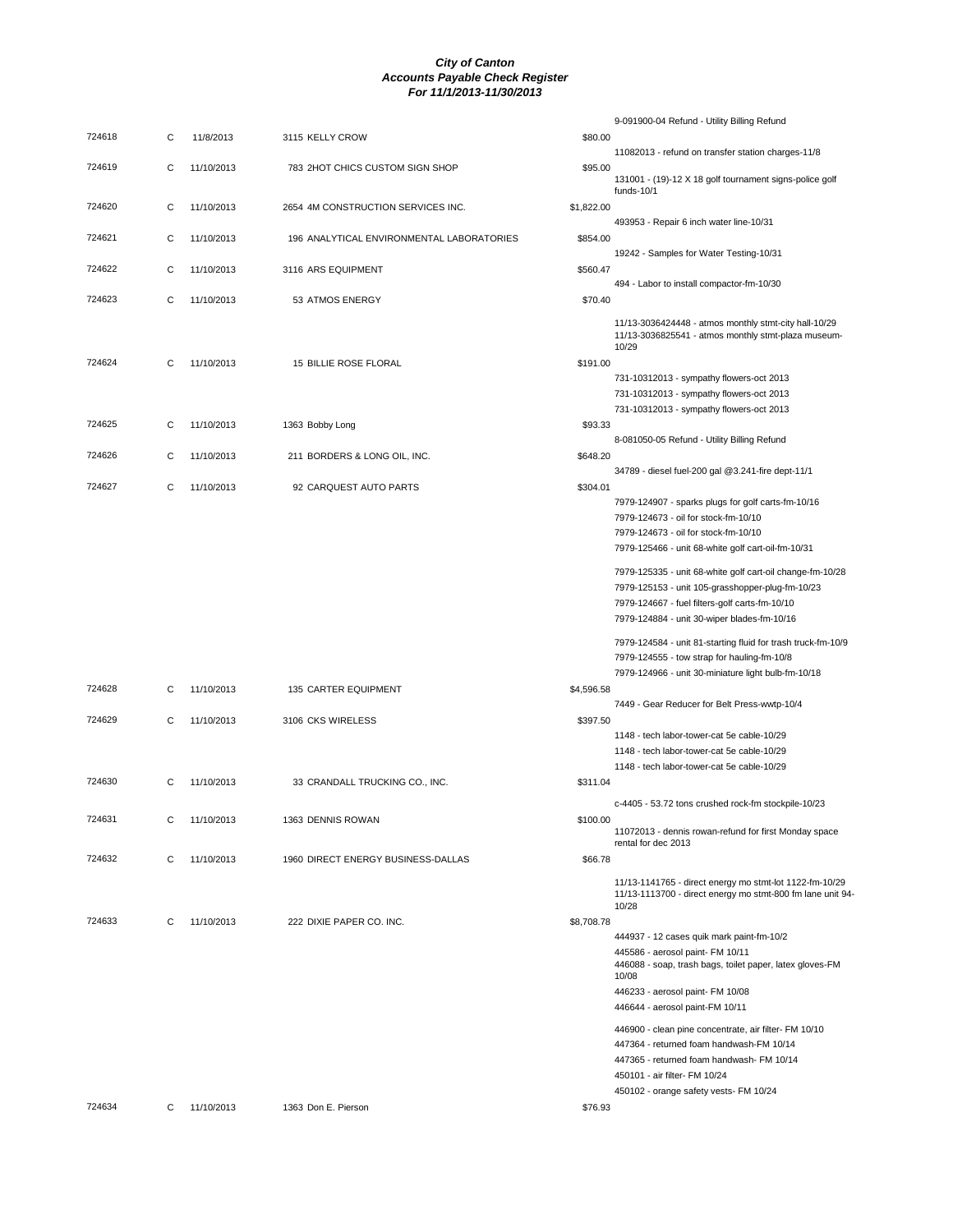|        |   |            |                                           |            | 9-091900-04 Refund - Utility Billing Refund                                                                                    |
|--------|---|------------|-------------------------------------------|------------|--------------------------------------------------------------------------------------------------------------------------------|
| 724618 | C | 11/8/2013  | 3115 KELLY CROW                           | \$80.00    |                                                                                                                                |
|        |   |            |                                           |            | 11082013 - refund on transfer station charges-11/8                                                                             |
| 724619 | С | 11/10/2013 | 783 2HOT CHICS CUSTOM SIGN SHOP           | \$95.00    | 131001 - (19)-12 X 18 golf tournament signs-police golf<br>funds-10/1                                                          |
| 724620 | C | 11/10/2013 | 2654 4M CONSTRUCTION SERVICES INC.        | \$1,822.00 |                                                                                                                                |
|        |   |            |                                           |            | 493953 - Repair 6 inch water line-10/31                                                                                        |
| 724621 | С | 11/10/2013 | 196 ANALYTICAL ENVIRONMENTAL LABORATORIES | \$854.00   |                                                                                                                                |
|        |   |            |                                           |            | 19242 - Samples for Water Testing-10/31                                                                                        |
| 724622 | C | 11/10/2013 | 3116 ARS EQUIPMENT                        | \$560.47   | 494 - Labor to install compactor-fm-10/30                                                                                      |
| 724623 | C | 11/10/2013 | 53 ATMOS ENERGY                           | \$70.40    |                                                                                                                                |
|        |   |            |                                           |            | 11/13-3036424448 - atmos monthly stmt-city hall-10/29<br>11/13-3036825541 - atmos monthly stmt-plaza museum-<br>10/29          |
| 724624 | C | 11/10/2013 | 15 BILLIE ROSE FLORAL                     | \$191.00   |                                                                                                                                |
|        |   |            |                                           |            | 731-10312013 - sympathy flowers-oct 2013                                                                                       |
|        |   |            |                                           |            | 731-10312013 - sympathy flowers-oct 2013                                                                                       |
| 724625 | С | 11/10/2013 | 1363 Bobby Long                           | \$93.33    | 731-10312013 - sympathy flowers-oct 2013                                                                                       |
|        |   |            |                                           |            | 8-081050-05 Refund - Utility Billing Refund                                                                                    |
| 724626 | C | 11/10/2013 | 211 BORDERS & LONG OIL, INC.              | \$648.20   |                                                                                                                                |
|        |   |            |                                           |            | 34789 - diesel fuel-200 gal @3.241-fire dept-11/1                                                                              |
| 724627 | C | 11/10/2013 | 92 CARQUEST AUTO PARTS                    | \$304.01   |                                                                                                                                |
|        |   |            |                                           |            | 7979-124907 - sparks plugs for golf carts-fm-10/16                                                                             |
|        |   |            |                                           |            | 7979-124673 - oil for stock-fm-10/10                                                                                           |
|        |   |            |                                           |            | 7979-124673 - oil for stock-fm-10/10<br>7979-125466 - unit 68-white golf cart-oil-fm-10/31                                     |
|        |   |            |                                           |            |                                                                                                                                |
|        |   |            |                                           |            | 7979-125335 - unit 68-white golf cart-oil change-fm-10/28                                                                      |
|        |   |            |                                           |            | 7979-125153 - unit 105-grasshopper-plug-fm-10/23                                                                               |
|        |   |            |                                           |            | 7979-124667 - fuel filters-golf carts-fm-10/10<br>7979-124884 - unit 30-wiper blades-fm-10/16                                  |
|        |   |            |                                           |            |                                                                                                                                |
|        |   |            |                                           |            | 7979-124584 - unit 81-starting fluid for trash truck-fm-10/9                                                                   |
|        |   |            |                                           |            | 7979-124555 - tow strap for hauling-fm-10/8                                                                                    |
| 724628 | C | 11/10/2013 | 135 CARTER EQUIPMENT                      | \$4,596.58 | 7979-124966 - unit 30-miniature light bulb-fm-10/18                                                                            |
|        |   |            |                                           |            | 7449 - Gear Reducer for Belt Press-wwtp-10/4                                                                                   |
| 724629 | C | 11/10/2013 | 3106 CKS WIRELESS                         | \$397.50   |                                                                                                                                |
|        |   |            |                                           |            | 1148 - tech labor-tower-cat 5e cable-10/29                                                                                     |
|        |   |            |                                           |            | 1148 - tech labor-tower-cat 5e cable-10/29                                                                                     |
|        |   |            |                                           |            | 1148 - tech labor-tower-cat 5e cable-10/29                                                                                     |
| 724630 | C | 11/10/2013 | 33 CRANDALL TRUCKING CO., INC.            | \$311.04   |                                                                                                                                |
|        |   |            |                                           |            | c-4405 - 53.72 tons crushed rock-fm stockpile-10/23                                                                            |
| 724631 | С | 11/10/2013 | 1363 DENNIS ROWAN                         | \$100.00   | 11072013 - dennis rowan-refund for first Monday space                                                                          |
|        |   |            |                                           |            | rental for dec 2013                                                                                                            |
| 724632 | C | 11/10/2013 | 1960 DIRECT ENERGY BUSINESS-DALLAS        | \$66.78    |                                                                                                                                |
|        |   |            |                                           |            | 11/13-1141765 - direct energy mo stmt-lot 1122-fm-10/29<br>11/13-1113700 - direct energy mo stmt-800 fm lane unit 94-<br>10/28 |
| 724633 | C | 11/10/2013 | 222 DIXIE PAPER CO. INC.                  | \$8,708.78 |                                                                                                                                |
|        |   |            |                                           |            | 444937 - 12 cases quik mark paint-fm-10/2                                                                                      |
|        |   |            |                                           |            | 445586 - aerosol paint- FM 10/11<br>446088 - soap, trash bags, toilet paper, latex gloves-FM<br>10/08                          |
|        |   |            |                                           |            | 446233 - aerosol paint- FM 10/08                                                                                               |
|        |   |            |                                           |            | 446644 - aerosol paint-FM 10/11                                                                                                |
|        |   |            |                                           |            | 446900 - clean pine concentrate, air filter- FM 10/10                                                                          |
|        |   |            |                                           |            | 447364 - returned foam handwash-FM 10/14                                                                                       |
|        |   |            |                                           |            | 447365 - returned foam handwash- FM 10/14                                                                                      |
|        |   |            |                                           |            | 450101 - air filter- FM 10/24<br>450102 - orange safety vests- FM 10/24                                                        |
| 724634 | С | 11/10/2013 | 1363 Don E. Pierson                       | \$76.93    |                                                                                                                                |
|        |   |            |                                           |            |                                                                                                                                |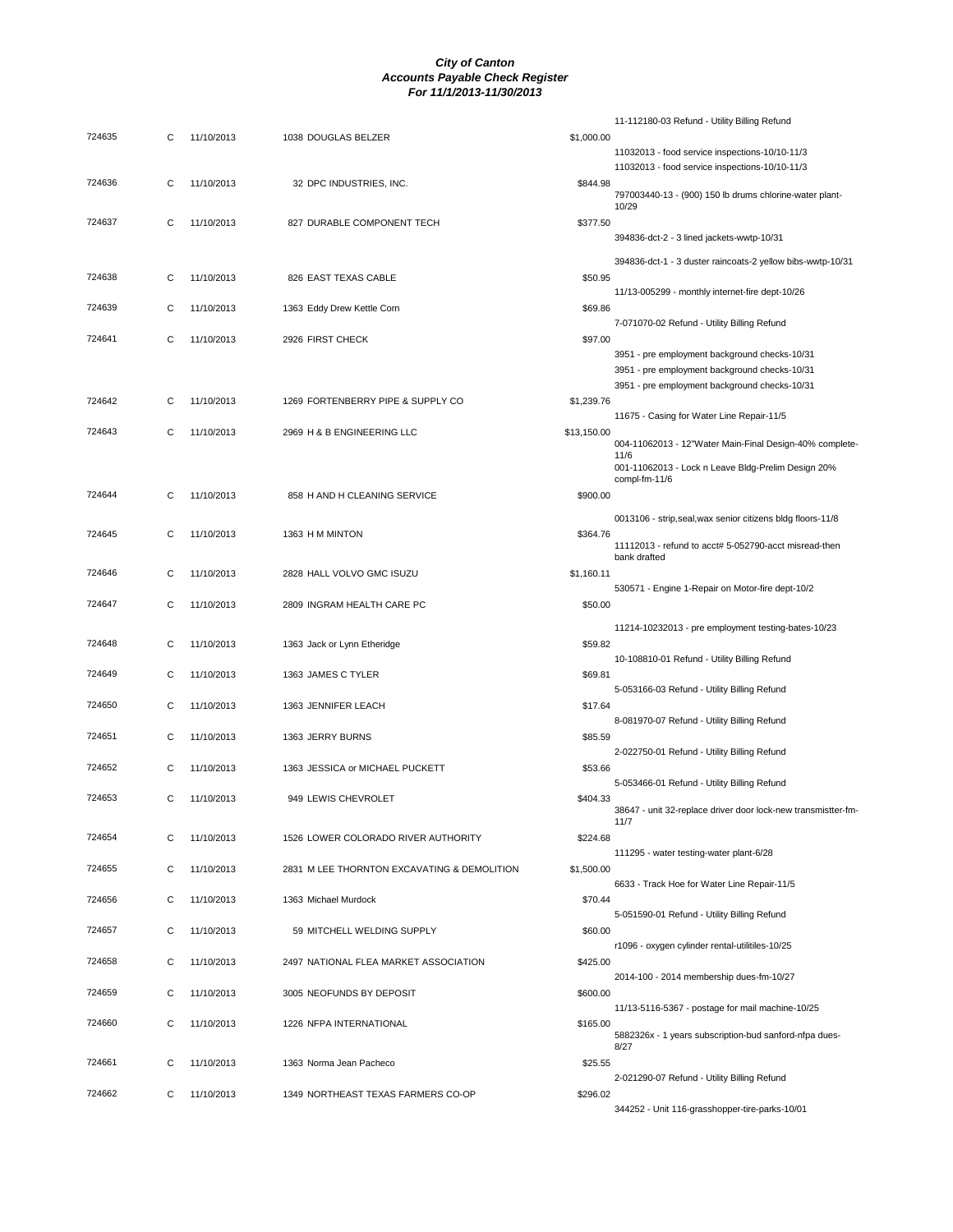| 724635 | С | 11/10/2013 | 1038 DOUGLAS BELZER                         | \$1,000.00  | 11-112180-03 Refund - Utility Billing Refund                                                                         |
|--------|---|------------|---------------------------------------------|-------------|----------------------------------------------------------------------------------------------------------------------|
|        |   |            |                                             |             | 11032013 - food service inspections-10/10-11/3<br>11032013 - food service inspections-10/10-11/3                     |
| 724636 | С | 11/10/2013 | 32 DPC INDUSTRIES, INC.                     | \$844.98    | 797003440-13 - (900) 150 lb drums chlorine-water plant-<br>10/29                                                     |
| 724637 | С | 11/10/2013 | 827 DURABLE COMPONENT TECH                  | \$377.50    | 394836-dct-2 - 3 lined jackets-wwtp-10/31                                                                            |
|        |   |            |                                             |             | 394836-dct-1 - 3 duster raincoats-2 yellow bibs-wwtp-10/31                                                           |
| 724638 | С | 11/10/2013 | 826 EAST TEXAS CABLE                        | \$50.95     | 11/13-005299 - monthly internet-fire dept-10/26                                                                      |
| 724639 | С | 11/10/2013 | 1363 Eddy Drew Kettle Corn                  | \$69.86     | 7-071070-02 Refund - Utility Billing Refund                                                                          |
| 724641 | С | 11/10/2013 | 2926 FIRST CHECK                            | \$97.00     | 3951 - pre employment background checks-10/31                                                                        |
|        |   |            |                                             |             | 3951 - pre employment background checks-10/31                                                                        |
| 724642 | С | 11/10/2013 | 1269 FORTENBERRY PIPE & SUPPLY CO           | \$1,239.76  | 3951 - pre employment background checks-10/31                                                                        |
| 724643 | C |            |                                             |             | 11675 - Casing for Water Line Repair-11/5                                                                            |
|        |   | 11/10/2013 | 2969 H & B ENGINEERING LLC                  | \$13,150.00 | 004-11062013 - 12"Water Main-Final Design-40% complete-<br>11/6                                                      |
|        |   |            |                                             |             | 001-11062013 - Lock n Leave Bldg-Prelim Design 20%<br>compl-fm-11/6                                                  |
| 724644 | С | 11/10/2013 | 858 H AND H CLEANING SERVICE                | \$900.00    |                                                                                                                      |
| 724645 | C | 11/10/2013 | 1363 H M MINTON                             | \$364.76    | 0013106 - strip, seal, wax senior citizens bldg floors-11/8<br>11112013 - refund to acct# 5-052790-acct misread-then |
| 724646 | С | 11/10/2013 | 2828 HALL VOLVO GMC ISUZU                   | \$1,160.11  | bank drafted                                                                                                         |
|        |   |            |                                             |             | 530571 - Engine 1-Repair on Motor-fire dept-10/2                                                                     |
| 724647 | С | 11/10/2013 | 2809 INGRAM HEALTH CARE PC                  | \$50.00     |                                                                                                                      |
| 724648 | С | 11/10/2013 | 1363 Jack or Lynn Etheridge                 | \$59.82     | 11214-10232013 - pre employment testing-bates-10/23<br>10-108810-01 Refund - Utility Billing Refund                  |
| 724649 | С | 11/10/2013 | 1363 JAMES C TYLER                          | \$69.81     | 5-053166-03 Refund - Utility Billing Refund                                                                          |
| 724650 | С | 11/10/2013 | 1363 JENNIFER LEACH                         | \$17.64     |                                                                                                                      |
| 724651 | С | 11/10/2013 | 1363 JERRY BURNS                            | \$85.59     | 8-081970-07 Refund - Utility Billing Refund                                                                          |
| 724652 | С | 11/10/2013 | 1363 JESSICA or MICHAEL PUCKETT             | \$53.66     | 2-022750-01 Refund - Utility Billing Refund                                                                          |
| 724653 | С | 11/10/2013 | 949 LEWIS CHEVROLET                         | \$404.33    | 5-053466-01 Refund - Utility Billing Refund                                                                          |
|        |   |            |                                             |             | 38647 - unit 32-replace driver door lock-new transmistter-fm-<br>11/7                                                |
| 724654 | С | 11/10/2013 | 1526 LOWER COLORADO RIVER AUTHORITY         | \$224.68    | 111295 - water testing-water plant-6/28                                                                              |
| 724655 | С | 11/10/2013 | 2831 M LEE THORNTON EXCAVATING & DEMOLITION | \$1,500.00  | 6633 - Track Hoe for Water Line Repair-11/5                                                                          |
| 724656 | С | 11/10/2013 | 1363 Michael Murdock                        | \$70.44     | 5-051590-01 Refund - Utility Billing Refund                                                                          |
| 724657 | С | 11/10/2013 | 59 MITCHELL WELDING SUPPLY                  | \$60.00     | r1096 - oxygen cylinder rental-utilitiles-10/25                                                                      |
| 724658 | С | 11/10/2013 | 2497 NATIONAL FLEA MARKET ASSOCIATION       | \$425.00    | 2014-100 - 2014 membership dues-fm-10/27                                                                             |
| 724659 | С | 11/10/2013 | 3005 NEOFUNDS BY DEPOSIT                    | \$600.00    |                                                                                                                      |
| 724660 | С | 11/10/2013 | 1226 NFPA INTERNATIONAL                     | \$165.00    | 11/13-5116-5367 - postage for mail machine-10/25                                                                     |
| 724661 | С | 11/10/2013 | 1363 Norma Jean Pacheco                     | \$25.55     | 5882326x - 1 years subscription-bud sanford-nfpa dues-<br>8/27                                                       |
|        |   |            |                                             |             | 2-021290-07 Refund - Utility Billing Refund                                                                          |
| 724662 | С | 11/10/2013 | 1349 NORTHEAST TEXAS FARMERS CO-OP          | \$296.02    | 344252 - Unit 116-grasshopper-tire-parks-10/01                                                                       |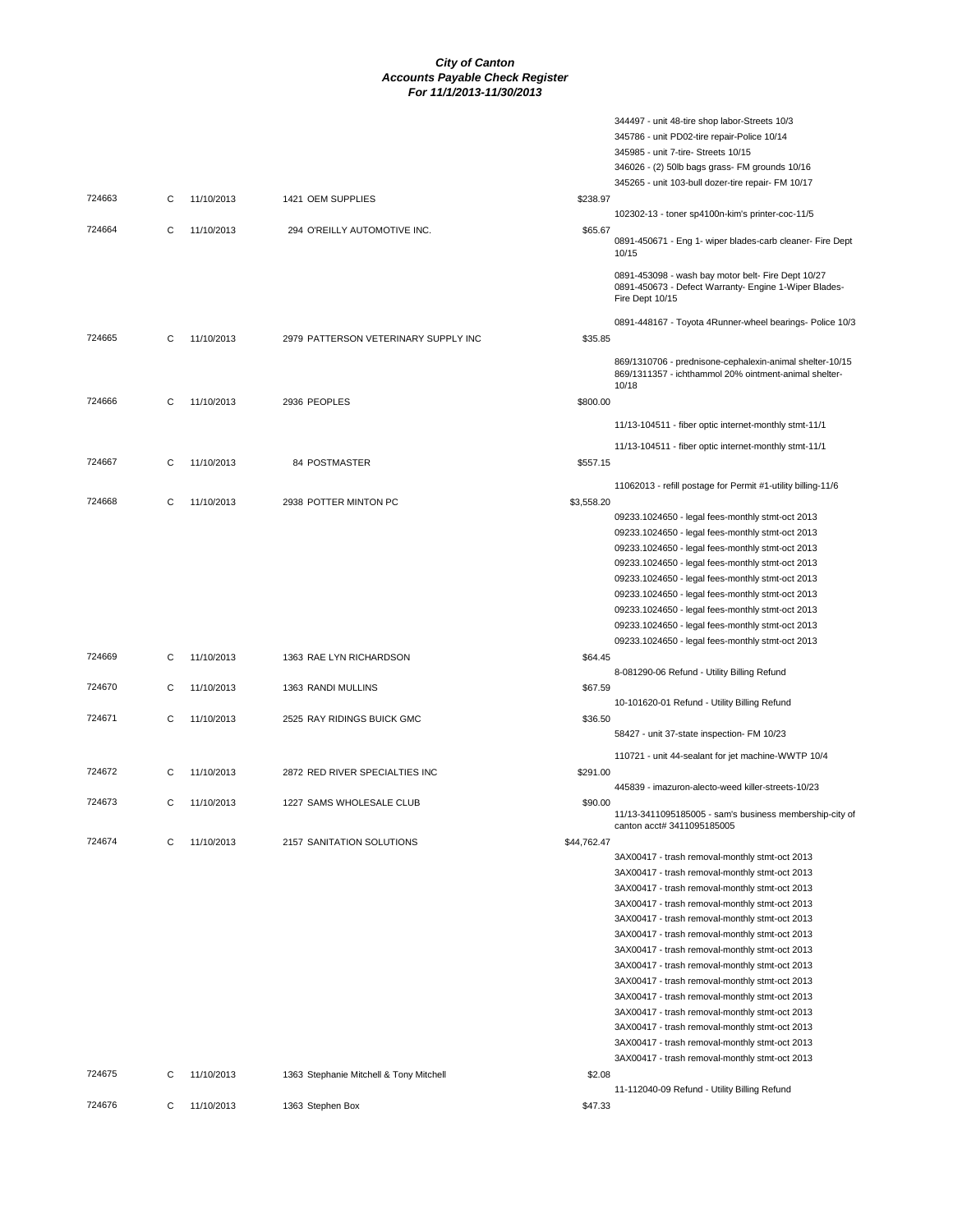|        |   |            |                                         |             | 344497 - unit 48-tire shop labor-Streets 10/3                                                                                  |
|--------|---|------------|-----------------------------------------|-------------|--------------------------------------------------------------------------------------------------------------------------------|
|        |   |            |                                         |             | 345786 - unit PD02-tire repair-Police 10/14                                                                                    |
|        |   |            |                                         |             | 345985 - unit 7-tire- Streets 10/15                                                                                            |
|        |   |            |                                         |             | 346026 - (2) 50lb bags grass- FM grounds 10/16                                                                                 |
|        |   |            |                                         |             | 345265 - unit 103-bull dozer-tire repair- FM 10/17                                                                             |
| 724663 | С | 11/10/2013 | 1421 OEM SUPPLIES                       | \$238.97    |                                                                                                                                |
|        |   |            |                                         |             | 102302-13 - toner sp4100n-kim's printer-coc-11/5                                                                               |
| 724664 | С | 11/10/2013 | 294 O'REILLY AUTOMOTIVE INC.            | \$65.67     | 0891-450671 - Eng 1- wiper blades-carb cleaner- Fire Dept<br>10/15                                                             |
|        |   |            |                                         |             | 0891-453098 - wash bay motor belt- Fire Dept 10/27<br>0891-450673 - Defect Warranty- Engine 1-Wiper Blades-<br>Fire Dept 10/15 |
|        |   |            |                                         |             | 0891-448167 - Toyota 4Runner-wheel bearings- Police 10/3                                                                       |
| 724665 | C | 11/10/2013 | 2979 PATTERSON VETERINARY SUPPLY INC    | \$35.85     |                                                                                                                                |
|        |   |            |                                         |             | 869/1310706 - prednisone-cephalexin-animal shelter-10/15<br>869/1311357 - ichthammol 20% ointment-animal shelter-<br>10/18     |
| 724666 | С | 11/10/2013 | 2936 PEOPLES                            | \$800.00    |                                                                                                                                |
|        |   |            |                                         |             | 11/13-104511 - fiber optic internet-monthly stmt-11/1                                                                          |
|        |   |            |                                         |             |                                                                                                                                |
|        |   |            |                                         |             | 11/13-104511 - fiber optic internet-monthly stmt-11/1                                                                          |
| 724667 | С | 11/10/2013 | 84 POSTMASTER                           | \$557.15    |                                                                                                                                |
|        |   |            |                                         |             | 11062013 - refill postage for Permit #1-utility billing-11/6                                                                   |
| 724668 | С | 11/10/2013 | 2938 POTTER MINTON PC                   | \$3,558.20  |                                                                                                                                |
|        |   |            |                                         |             | 09233.1024650 - legal fees-monthly stmt-oct 2013                                                                               |
|        |   |            |                                         |             | 09233.1024650 - legal fees-monthly stmt-oct 2013                                                                               |
|        |   |            |                                         |             | 09233.1024650 - legal fees-monthly stmt-oct 2013                                                                               |
|        |   |            |                                         |             | 09233.1024650 - legal fees-monthly stmt-oct 2013<br>09233.1024650 - legal fees-monthly stmt-oct 2013                           |
|        |   |            |                                         |             | 09233.1024650 - legal fees-monthly stmt-oct 2013                                                                               |
|        |   |            |                                         |             | 09233.1024650 - legal fees-monthly stmt-oct 2013                                                                               |
|        |   |            |                                         |             | 09233.1024650 - legal fees-monthly stmt-oct 2013                                                                               |
|        |   |            |                                         |             | 09233.1024650 - legal fees-monthly stmt-oct 2013                                                                               |
| 724669 | С | 11/10/2013 | 1363 RAE LYN RICHARDSON                 | \$64.45     |                                                                                                                                |
|        |   |            |                                         |             | 8-081290-06 Refund - Utility Billing Refund                                                                                    |
| 724670 | С | 11/10/2013 | 1363 RANDI MULLINS                      | \$67.59     |                                                                                                                                |
|        |   |            |                                         |             | 10-101620-01 Refund - Utility Billing Refund                                                                                   |
| 724671 | С | 11/10/2013 | 2525 RAY RIDINGS BUICK GMC              | \$36.50     |                                                                                                                                |
|        |   |            |                                         |             | 58427 - unit 37-state inspection- FM 10/23                                                                                     |
|        |   |            |                                         |             | 110721 - unit 44-sealant for jet machine-WWTP 10/4                                                                             |
| 724672 | С | 11/10/2013 | 2872 RED RIVER SPECIALTIES INC          | \$291.00    |                                                                                                                                |
|        |   |            |                                         |             | 445839 - imazuron-alecto-weed killer-streets-10/23                                                                             |
| 724673 | С | 11/10/2013 | 1227 SAMS WHOLESALE CLUB                | \$90.00     | 11/13-3411095185005 - sam's business membership-city of<br>canton acct# 3411095185005                                          |
| 724674 | С | 11/10/2013 | 2157 SANITATION SOLUTIONS               | \$44.762.47 |                                                                                                                                |
|        |   |            |                                         |             | 3AX00417 - trash removal-monthly stmt-oct 2013                                                                                 |
|        |   |            |                                         |             | 3AX00417 - trash removal-monthly stmt-oct 2013                                                                                 |
|        |   |            |                                         |             | 3AX00417 - trash removal-monthly stmt-oct 2013                                                                                 |
|        |   |            |                                         |             | 3AX00417 - trash removal-monthly stmt-oct 2013                                                                                 |
|        |   |            |                                         |             | 3AX00417 - trash removal-monthly stmt-oct 2013                                                                                 |
|        |   |            |                                         |             | 3AX00417 - trash removal-monthly stmt-oct 2013                                                                                 |
|        |   |            |                                         |             | 3AX00417 - trash removal-monthly stmt-oct 2013                                                                                 |
|        |   |            |                                         |             | 3AX00417 - trash removal-monthly stmt-oct 2013<br>3AX00417 - trash removal-monthly stmt-oct 2013                               |
|        |   |            |                                         |             | 3AX00417 - trash removal-monthly stmt-oct 2013                                                                                 |
|        |   |            |                                         |             | 3AX00417 - trash removal-monthly stmt-oct 2013                                                                                 |
|        |   |            |                                         |             | 3AX00417 - trash removal-monthly stmt-oct 2013                                                                                 |
|        |   |            |                                         |             | 3AX00417 - trash removal-monthly stmt-oct 2013                                                                                 |
|        |   |            |                                         |             | 3AX00417 - trash removal-monthly stmt-oct 2013                                                                                 |
| 724675 | С | 11/10/2013 | 1363 Stephanie Mitchell & Tony Mitchell | \$2.08      |                                                                                                                                |
|        |   |            |                                         |             | 11-112040-09 Refund - Utility Billing Refund                                                                                   |
| 724676 | С | 11/10/2013 | 1363 Stephen Box                        | \$47.33     |                                                                                                                                |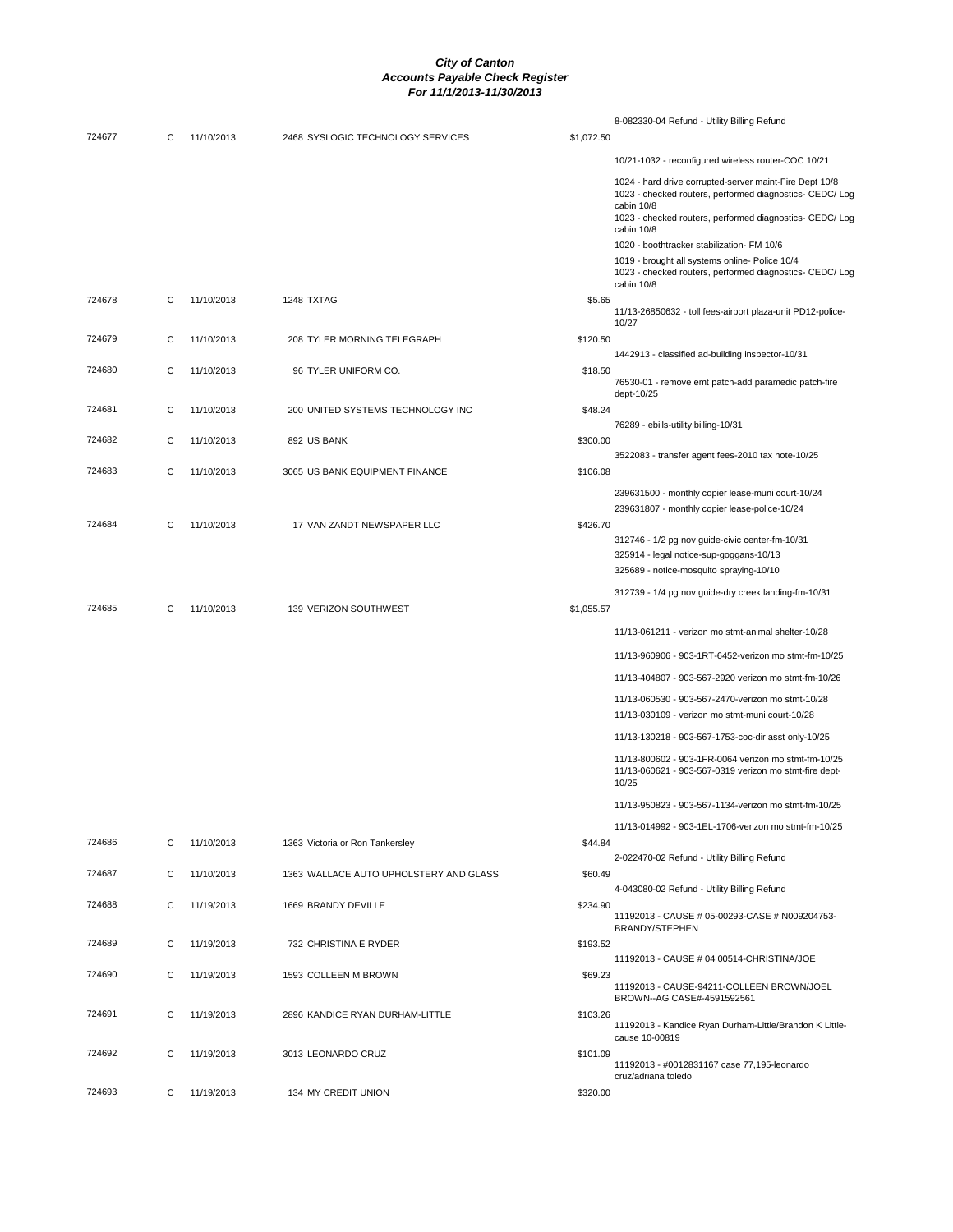|        |   |            |                                        |            | 8-082330-04 Refund - Utility Billing Refund                                                                                                                                                   |
|--------|---|------------|----------------------------------------|------------|-----------------------------------------------------------------------------------------------------------------------------------------------------------------------------------------------|
| 724677 | С | 11/10/2013 | 2468 SYSLOGIC TECHNOLOGY SERVICES      | \$1,072.50 |                                                                                                                                                                                               |
|        |   |            |                                        |            | 10/21-1032 - reconfigured wireless router-COC 10/21                                                                                                                                           |
|        |   |            |                                        |            | 1024 - hard drive corrupted-server maint-Fire Dept 10/8<br>1023 - checked routers, performed diagnostics- CEDC/ Log<br>cabin 10/8<br>1023 - checked routers, performed diagnostics- CEDC/ Log |
|        |   |            |                                        |            | cabin 10/8                                                                                                                                                                                    |
|        |   |            |                                        |            | 1020 - boothtracker stabilization- FM 10/6                                                                                                                                                    |
|        |   |            |                                        |            | 1019 - brought all systems online- Police 10/4<br>1023 - checked routers, performed diagnostics- CEDC/ Log<br>cabin 10/8                                                                      |
| 724678 | C | 11/10/2013 | 1248 TXTAG                             | \$5.65     |                                                                                                                                                                                               |
|        |   |            |                                        |            | 11/13-26850632 - toll fees-airport plaza-unit PD12-police-<br>10/27                                                                                                                           |
| 724679 | С | 11/10/2013 | 208 TYLER MORNING TELEGRAPH            | \$120.50   |                                                                                                                                                                                               |
|        |   |            |                                        |            | 1442913 - classified ad-building inspector-10/31                                                                                                                                              |
| 724680 | C | 11/10/2013 | 96 TYLER UNIFORM CO.                   | \$18.50    | 76530-01 - remove emt patch-add paramedic patch-fire                                                                                                                                          |
|        |   |            |                                        |            | dept-10/25                                                                                                                                                                                    |
| 724681 | С | 11/10/2013 | 200 UNITED SYSTEMS TECHNOLOGY INC      | \$48.24    |                                                                                                                                                                                               |
|        |   |            |                                        |            | 76289 - ebills-utility billing-10/31                                                                                                                                                          |
| 724682 | C | 11/10/2013 | 892 US BANK                            | \$300.00   |                                                                                                                                                                                               |
|        |   |            |                                        |            | 3522083 - transfer agent fees-2010 tax note-10/25                                                                                                                                             |
| 724683 | С | 11/10/2013 | 3065 US BANK EQUIPMENT FINANCE         | \$106.08   |                                                                                                                                                                                               |
|        |   |            |                                        |            | 239631500 - monthly copier lease-muni court-10/24                                                                                                                                             |
|        |   |            |                                        |            | 239631807 - monthly copier lease-police-10/24                                                                                                                                                 |
| 724684 | С | 11/10/2013 | 17 VAN ZANDT NEWSPAPER LLC             | \$426.70   |                                                                                                                                                                                               |
|        |   |            |                                        |            | 312746 - 1/2 pg nov guide-civic center-fm-10/31<br>325914 - legal notice-sup-goggans-10/13                                                                                                    |
|        |   |            |                                        |            | 325689 - notice-mosquito spraying-10/10                                                                                                                                                       |
|        |   |            |                                        |            |                                                                                                                                                                                               |
| 724685 | C | 11/10/2013 | 139 VERIZON SOUTHWEST                  | \$1,055.57 | 312739 - 1/4 pg nov guide-dry creek landing-fm-10/31                                                                                                                                          |
|        |   |            |                                        |            |                                                                                                                                                                                               |
|        |   |            |                                        |            | 11/13-061211 - verizon mo stmt-animal shelter-10/28                                                                                                                                           |
|        |   |            |                                        |            | 11/13-960906 - 903-1RT-6452-verizon mo stmt-fm-10/25                                                                                                                                          |
|        |   |            |                                        |            | 11/13-404807 - 903-567-2920 verizon mo stmt-fm-10/26                                                                                                                                          |
|        |   |            |                                        |            | 11/13-060530 - 903-567-2470-verizon mo stmt-10/28                                                                                                                                             |
|        |   |            |                                        |            | 11/13-030109 - verizon mo stmt-muni court-10/28                                                                                                                                               |
|        |   |            |                                        |            | 11/13-130218 - 903-567-1753-coc-dir asst only-10/25                                                                                                                                           |
|        |   |            |                                        |            | 11/13-800602 - 903-1FR-0064 verizon mo stmt-fm-10/25<br>11/13-060621 - 903-567-0319 verizon mo stmt-fire dept-<br>10/25                                                                       |
|        |   |            |                                        |            | 11/13-950823 - 903-567-1134-verizon mo stmt-fm-10/25                                                                                                                                          |
|        |   |            |                                        |            | 11/13-014992 - 903-1EL-1706-verizon mo stmt-fm-10/25                                                                                                                                          |
| 724686 | С | 11/10/2013 | 1363 Victoria or Ron Tankersley        | \$44.84    |                                                                                                                                                                                               |
|        |   |            |                                        |            | 2-022470-02 Refund - Utility Billing Refund                                                                                                                                                   |
| 724687 | C | 11/10/2013 | 1363 WALLACE AUTO UPHOLSTERY AND GLASS | \$60.49    |                                                                                                                                                                                               |
|        |   |            |                                        |            | 4-043080-02 Refund - Utility Billing Refund                                                                                                                                                   |
| 724688 | С | 11/19/2013 | 1669 BRANDY DEVILLE                    | \$234.90   |                                                                                                                                                                                               |
|        |   |            |                                        |            | 11192013 - CAUSE # 05-00293-CASE # N009204753-<br><b>BRANDY/STEPHEN</b>                                                                                                                       |
| 724689 | С | 11/19/2013 | 732 CHRISTINA E RYDER                  | \$193.52   |                                                                                                                                                                                               |
|        |   |            |                                        |            | 11192013 - CAUSE # 04 00514-CHRISTINA/JOE                                                                                                                                                     |
| 724690 | С | 11/19/2013 | 1593 COLLEEN M BROWN                   | \$69.23    | 11192013 - CAUSE-94211-COLLEEN BROWN/JOEL                                                                                                                                                     |
| 724691 | C | 11/19/2013 | 2896 KANDICE RYAN DURHAM-LITTLE        | \$103.26   | BROWN--AG CASE#-4591592561                                                                                                                                                                    |
|        |   |            |                                        |            | 11192013 - Kandice Ryan Durham-Little/Brandon K Little-                                                                                                                                       |
|        |   |            |                                        |            | cause 10-00819                                                                                                                                                                                |
| 724692 | С | 11/19/2013 | 3013 LEONARDO CRUZ                     | \$101.09   | 11192013 - #0012831167 case 77,195-leonardo                                                                                                                                                   |
|        |   |            |                                        |            | cruz/adriana toledo                                                                                                                                                                           |
| 724693 | C | 11/19/2013 | 134 MY CREDIT UNION                    | \$320.00   |                                                                                                                                                                                               |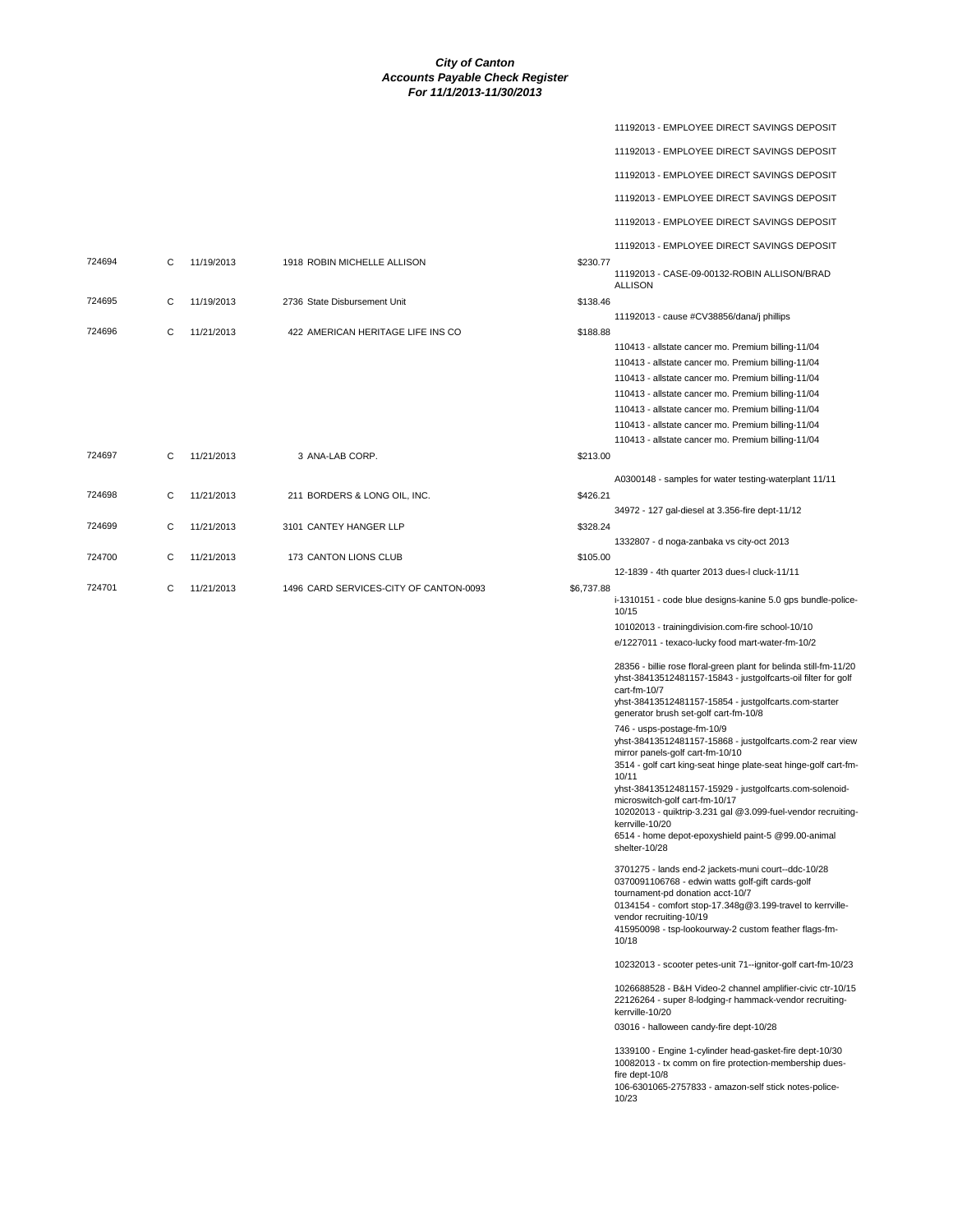|        |   |            |                                   |          | 11192013 - EMPLOYEE DIRECT SAVINGS DEPOSIT                                                                                                                                                                                                                                                                                                                                                                                                                                                                                                                                                                                                                                                                                                                                                                                                                                                                                                                                                                                                                                                                                                                                                                                                                                        |
|--------|---|------------|-----------------------------------|----------|-----------------------------------------------------------------------------------------------------------------------------------------------------------------------------------------------------------------------------------------------------------------------------------------------------------------------------------------------------------------------------------------------------------------------------------------------------------------------------------------------------------------------------------------------------------------------------------------------------------------------------------------------------------------------------------------------------------------------------------------------------------------------------------------------------------------------------------------------------------------------------------------------------------------------------------------------------------------------------------------------------------------------------------------------------------------------------------------------------------------------------------------------------------------------------------------------------------------------------------------------------------------------------------|
|        |   |            |                                   |          | 11192013 - EMPLOYEE DIRECT SAVINGS DEPOSIT                                                                                                                                                                                                                                                                                                                                                                                                                                                                                                                                                                                                                                                                                                                                                                                                                                                                                                                                                                                                                                                                                                                                                                                                                                        |
|        |   |            |                                   |          | 11192013 - EMPLOYEE DIRECT SAVINGS DEPOSIT                                                                                                                                                                                                                                                                                                                                                                                                                                                                                                                                                                                                                                                                                                                                                                                                                                                                                                                                                                                                                                                                                                                                                                                                                                        |
|        |   |            |                                   |          | 11192013 - EMPLOYEE DIRECT SAVINGS DEPOSIT                                                                                                                                                                                                                                                                                                                                                                                                                                                                                                                                                                                                                                                                                                                                                                                                                                                                                                                                                                                                                                                                                                                                                                                                                                        |
|        |   |            |                                   |          | 11192013 - EMPLOYEE DIRECT SAVINGS DEPOSIT                                                                                                                                                                                                                                                                                                                                                                                                                                                                                                                                                                                                                                                                                                                                                                                                                                                                                                                                                                                                                                                                                                                                                                                                                                        |
|        |   |            |                                   |          | 11192013 - EMPLOYEE DIRECT SAVINGS DEPOSIT                                                                                                                                                                                                                                                                                                                                                                                                                                                                                                                                                                                                                                                                                                                                                                                                                                                                                                                                                                                                                                                                                                                                                                                                                                        |
| 724694 | С | 11/19/2013 | 1918 ROBIN MICHELLE ALLISON       | \$230.77 | 11192013 - CASE-09-00132-ROBIN ALLISON/BRAD<br><b>ALLISON</b>                                                                                                                                                                                                                                                                                                                                                                                                                                                                                                                                                                                                                                                                                                                                                                                                                                                                                                                                                                                                                                                                                                                                                                                                                     |
| 724695 | С | 11/19/2013 | 2736 State Disbursement Unit      | \$138.46 |                                                                                                                                                                                                                                                                                                                                                                                                                                                                                                                                                                                                                                                                                                                                                                                                                                                                                                                                                                                                                                                                                                                                                                                                                                                                                   |
|        |   |            |                                   |          | 11192013 - cause #CV38856/dana/j phillips                                                                                                                                                                                                                                                                                                                                                                                                                                                                                                                                                                                                                                                                                                                                                                                                                                                                                                                                                                                                                                                                                                                                                                                                                                         |
| 724696 | C | 11/21/2013 | 422 AMERICAN HERITAGE LIFE INS CO | \$188.88 | 110413 - allstate cancer mo. Premium billing-11/04<br>110413 - allstate cancer mo. Premium billing-11/04<br>110413 - allstate cancer mo. Premium billing-11/04<br>110413 - allstate cancer mo. Premium billing-11/04<br>110413 - allstate cancer mo. Premium billing-11/04<br>110413 - allstate cancer mo. Premium billing-11/04<br>110413 - allstate cancer mo. Premium billing-11/04                                                                                                                                                                                                                                                                                                                                                                                                                                                                                                                                                                                                                                                                                                                                                                                                                                                                                            |
| 724697 | C | 11/21/2013 | 3 ANA-LAB CORP.                   | \$213.00 |                                                                                                                                                                                                                                                                                                                                                                                                                                                                                                                                                                                                                                                                                                                                                                                                                                                                                                                                                                                                                                                                                                                                                                                                                                                                                   |
| 724698 | С | 11/21/2013 | 211 BORDERS & LONG OIL, INC.      | \$426.21 | A0300148 - samples for water testing-waterplant 11/11                                                                                                                                                                                                                                                                                                                                                                                                                                                                                                                                                                                                                                                                                                                                                                                                                                                                                                                                                                                                                                                                                                                                                                                                                             |
|        |   |            |                                   |          | 34972 - 127 gal-diesel at 3.356-fire dept-11/12                                                                                                                                                                                                                                                                                                                                                                                                                                                                                                                                                                                                                                                                                                                                                                                                                                                                                                                                                                                                                                                                                                                                                                                                                                   |
| 724699 | С | 11/21/2013 | 3101 CANTEY HANGER LLP            | \$328.24 | 1332807 - d noga-zanbaka vs city-oct 2013                                                                                                                                                                                                                                                                                                                                                                                                                                                                                                                                                                                                                                                                                                                                                                                                                                                                                                                                                                                                                                                                                                                                                                                                                                         |
| 724700 | С | 11/21/2013 | 173 CANTON LIONS CLUB             | \$105.00 | 12-1839 - 4th quarter 2013 dues-I cluck-11/11                                                                                                                                                                                                                                                                                                                                                                                                                                                                                                                                                                                                                                                                                                                                                                                                                                                                                                                                                                                                                                                                                                                                                                                                                                     |
|        |   |            |                                   |          | i-1310151 - code blue designs-kanine 5.0 gps bundle-police-<br>10/15<br>10102013 - trainingdivision.com-fire school-10/10<br>e/1227011 - texaco-lucky food mart-water-fm-10/2<br>28356 - billie rose floral-green plant for belinda still-fm-11/20<br>yhst-38413512481157-15843 - justgolfcarts-oil filter for golf<br>cart-fm-10/7<br>yhst-38413512481157-15854 - justgolfcarts.com-starter<br>generator brush set-golf cart-fm-10/8<br>746 - usps-postage-fm-10/9<br>yhst-38413512481157-15868 - justgolfcarts.com-2 rear view<br>mirror panels-golf cart-fm-10/10<br>3514 - golf cart king-seat hinge plate-seat hinge-golf cart-fm-<br>10/11<br>yhst-38413512481157-15929 - justgolfcarts.com-solenoid-<br>microswitch-golf cart-fm-10/17<br>10202013 - quiktrip-3.231 gal @3.099-fuel-vendor recruiting-<br>kerrville-10/20<br>6514 - home depot-epoxyshield paint-5 @99.00-animal<br>shelter-10/28<br>3701275 - lands end-2 jackets-muni court--ddc-10/28<br>0370091106768 - edwin watts golf-gift cards-golf<br>tournament-pd donation acct-10/7<br>0134154 - comfort stop-17.348q@3.199-travel to kerrville-<br>vendor recruiting-10/19<br>415950098 - tsp-lookourway-2 custom feather flags-fm-<br>10/18<br>10232013 - scooter petes-unit 71--ignitor-golf cart-fm-10/23 |
|        |   |            |                                   |          | 1026688528 - B&H Video-2 channel amplifier-civic ctr-10/15<br>22126264 - super 8-lodging-r hammack-vendor recruiting-<br>kerrville-10/20<br>03016 - halloween candy-fire dept-10/28<br>1339100 - Engine 1-cylinder head-gasket-fire dept-10/30<br>10082013 - tx comm on fire protection-membership dues-<br>fire dept-10/8<br>106-6301065-2757833 - amazon-self stick notes-police-<br>10/23                                                                                                                                                                                                                                                                                                                                                                                                                                                                                                                                                                                                                                                                                                                                                                                                                                                                                      |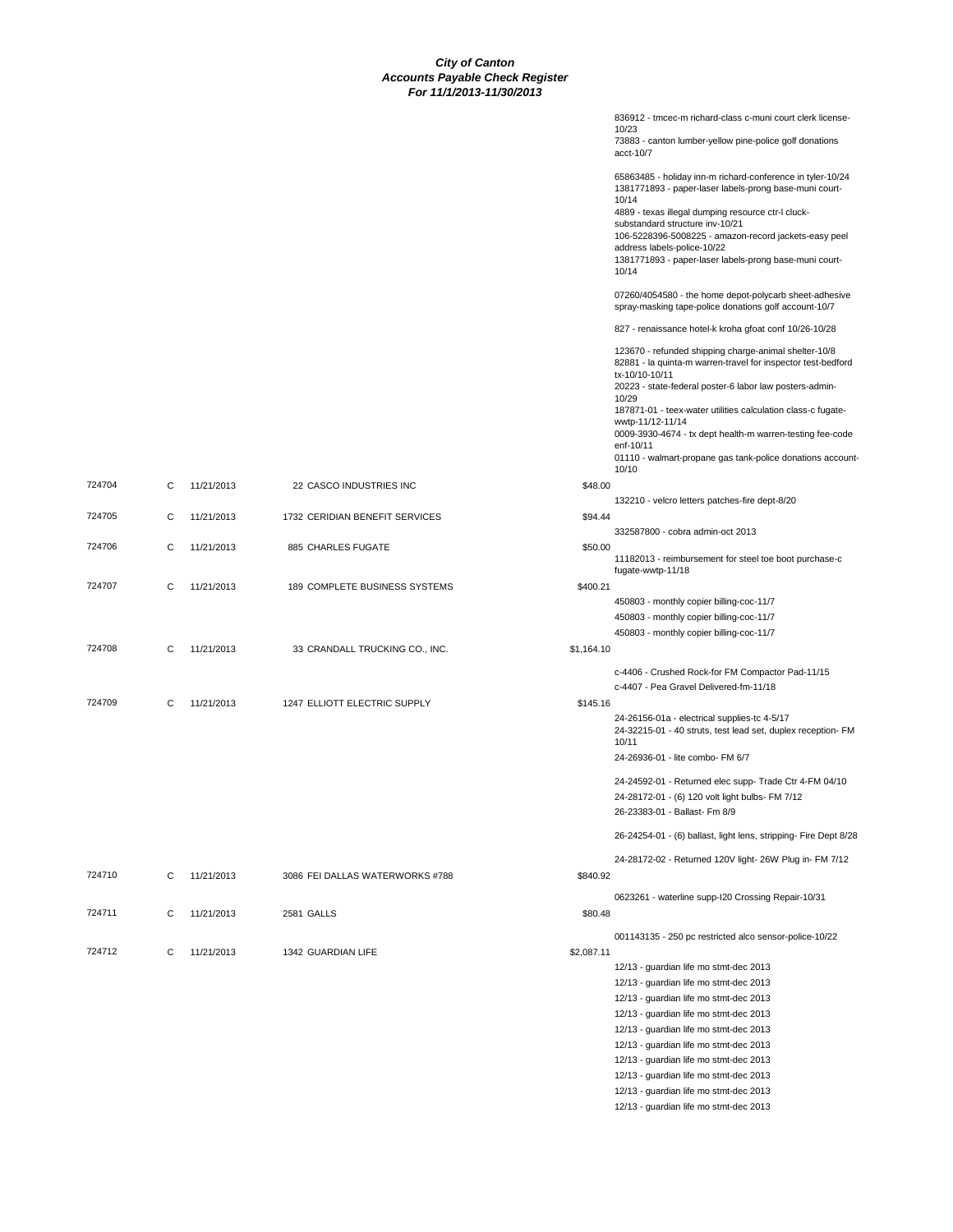|        |   |            |                                 |            | 10/23<br>73883 - canton lumber-yellow pine-police golf donations<br>acct-10/7                                                                                                       |
|--------|---|------------|---------------------------------|------------|-------------------------------------------------------------------------------------------------------------------------------------------------------------------------------------|
|        |   |            |                                 |            | 65863485 - holiday inn-m richard-conference in tyler-10/24<br>1381771893 - paper-laser labels-prong base-muni court-<br>10/14<br>4889 - texas illegal dumping resource ctr-l cluck- |
|        |   |            |                                 |            | substandard structure inv-10/21                                                                                                                                                     |
|        |   |            |                                 |            | 106-5228396-5008225 - amazon-record jackets-easy peel<br>address labels-police-10/22                                                                                                |
|        |   |            |                                 |            | 1381771893 - paper-laser labels-prong base-muni court-<br>10/14                                                                                                                     |
|        |   |            |                                 |            | 07260/4054580 - the home depot-polycarb sheet-adhesive<br>spray-masking tape-police donations golf account-10/7                                                                     |
|        |   |            |                                 |            | 827 - renaissance hotel-k kroha gfoat conf 10/26-10/28                                                                                                                              |
|        |   |            |                                 |            | 123670 - refunded shipping charge-animal shelter-10/8<br>82881 - la quinta-m warren-travel for inspector test-bedford<br>tx-10/10-10/11                                             |
|        |   |            |                                 |            | 20223 - state-federal poster-6 labor law posters-admin-<br>10/29                                                                                                                    |
|        |   |            |                                 |            | 187871-01 - teex-water utilities calculation class-c fugate-                                                                                                                        |
|        |   |            |                                 |            | wwtp-11/12-11/14<br>0009-3930-4674 - tx dept health-m warren-testing fee-code                                                                                                       |
|        |   |            |                                 |            | enf-10/11<br>01110 - walmart-propane gas tank-police donations account-                                                                                                             |
|        |   |            |                                 |            | 10/10                                                                                                                                                                               |
| 724704 | С | 11/21/2013 | 22 CASCO INDUSTRIES INC         | \$48.00    |                                                                                                                                                                                     |
| 724705 | С | 11/21/2013 | 1732 CERIDIAN BENEFIT SERVICES  | \$94.44    | 132210 - velcro letters patches-fire dept-8/20                                                                                                                                      |
|        |   |            |                                 |            | 332587800 - cobra admin-oct 2013                                                                                                                                                    |
| 724706 | С | 11/21/2013 | 885 CHARLES FUGATE              | \$50.00    | 11182013 - reimbursement for steel toe boot purchase-c                                                                                                                              |
|        |   |            |                                 |            | fugate-wwtp-11/18                                                                                                                                                                   |
| 724707 | С | 11/21/2013 | 189 COMPLETE BUSINESS SYSTEMS   | \$400.21   |                                                                                                                                                                                     |
|        |   |            |                                 |            | 450803 - monthly copier billing-coc-11/7<br>450803 - monthly copier billing-coc-11/7                                                                                                |
|        |   |            |                                 |            | 450803 - monthly copier billing-coc-11/7                                                                                                                                            |
| 724708 | С | 11/21/2013 | 33 CRANDALL TRUCKING CO., INC.  | \$1,164.10 |                                                                                                                                                                                     |
|        |   |            |                                 |            | c-4406 - Crushed Rock-for FM Compactor Pad-11/15                                                                                                                                    |
|        |   |            |                                 |            | c-4407 - Pea Gravel Delivered-fm-11/18                                                                                                                                              |
| 724709 | С | 11/21/2013 | 1247 ELLIOTT ELECTRIC SUPPLY    | \$145.16   |                                                                                                                                                                                     |
|        |   |            |                                 |            | 24-26156-01a - electrical supplies-tc 4-5/17<br>24-32215-01 - 40 struts, test lead set, duplex reception- FM<br>10/11                                                               |
|        |   |            |                                 |            | 24-26936-01 - lite combo- FM 6/7                                                                                                                                                    |
|        |   |            |                                 |            | 24-24592-01 - Returned elec supp- Trade Ctr 4-FM 04/10                                                                                                                              |
|        |   |            |                                 |            | 24-28172-01 - (6) 120 volt light bulbs- FM 7/12<br>26-23383-01 - Ballast- Fm 8/9                                                                                                    |
|        |   |            |                                 |            | 26-24254-01 - (6) ballast, light lens, stripping- Fire Dept 8/28                                                                                                                    |
|        |   |            |                                 |            | 24-28172-02 - Returned 120V light- 26W Plug in- FM 7/12                                                                                                                             |
| 724710 | С | 11/21/2013 | 3086 FEI DALLAS WATERWORKS #788 | \$840.92   |                                                                                                                                                                                     |
|        |   |            |                                 |            | 0623261 - waterline supp-I20 Crossing Repair-10/31                                                                                                                                  |
| 724711 | С | 11/21/2013 | 2581 GALLS                      | \$80.48    |                                                                                                                                                                                     |
|        |   |            |                                 |            | 001143135 - 250 pc restricted alco sensor-police-10/22                                                                                                                              |
| 724712 | С | 11/21/2013 | 1342 GUARDIAN LIFE              | \$2,087.11 | 12/13 - guardian life mo stmt-dec 2013                                                                                                                                              |
|        |   |            |                                 |            | 12/13 - guardian life mo stmt-dec 2013                                                                                                                                              |
|        |   |            |                                 |            | 12/13 - guardian life mo stmt-dec 2013                                                                                                                                              |
|        |   |            |                                 |            | 12/13 - guardian life mo stmt-dec 2013                                                                                                                                              |
|        |   |            |                                 |            | 12/13 - guardian life mo stmt-dec 2013                                                                                                                                              |
|        |   |            |                                 |            | 12/13 - guardian life mo stmt-dec 2013                                                                                                                                              |
|        |   |            |                                 |            | 12/13 - guardian life mo stmt-dec 2013                                                                                                                                              |
|        |   |            |                                 |            | 12/13 - guardian life mo stmt-dec 2013<br>12/13 - guardian life mo stmt-dec 2013                                                                                                    |
|        |   |            |                                 |            | 12/13 - guardian life mo stmt-dec 2013                                                                                                                                              |

836912 - tmcec-m richard-class c-muni court clerk license-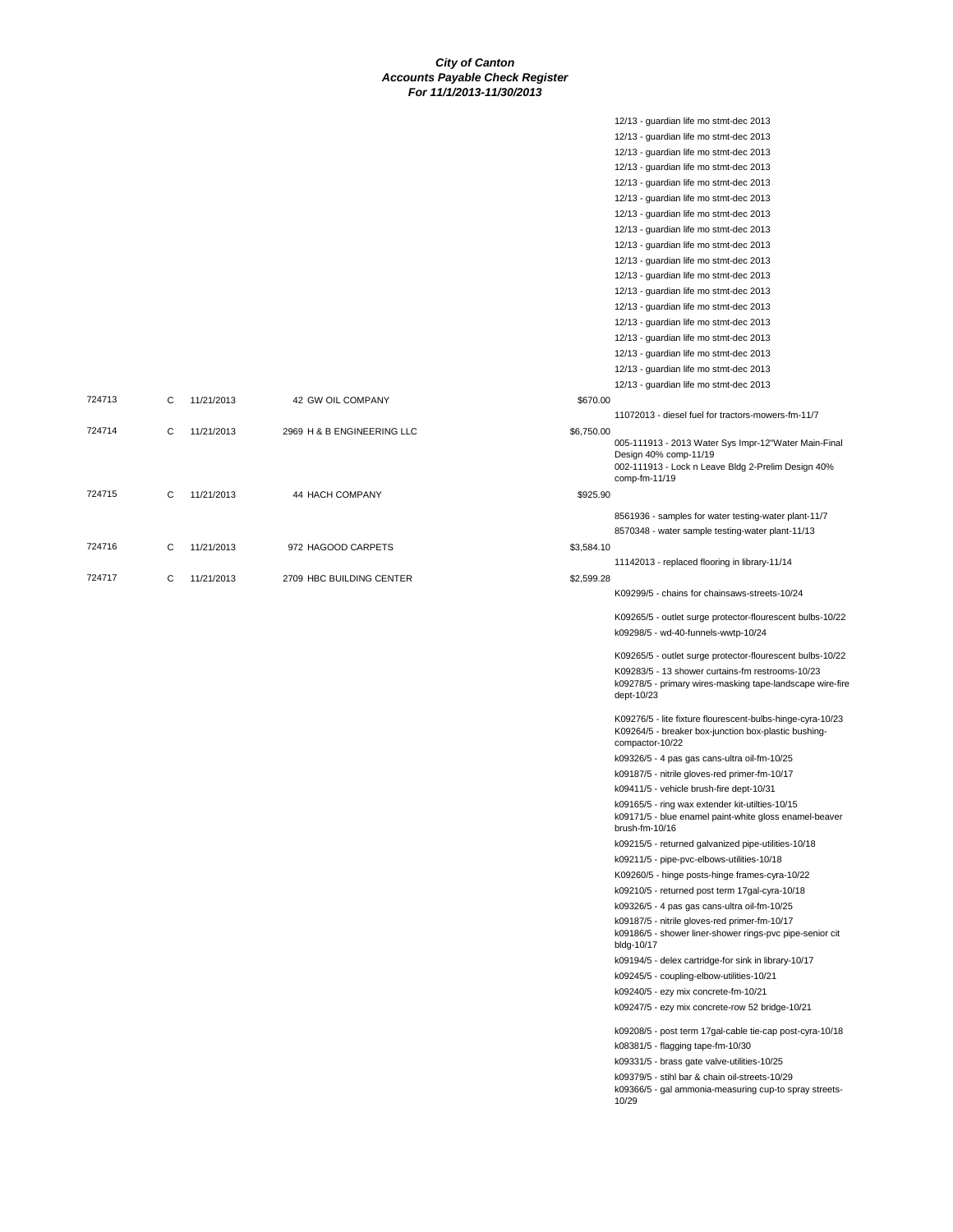12/13 - guardian life mo stmt-dec 2013

|        |   |            |                            |            | 12/13 - guardian life mo stmt-dec 2013                                                                                                                                                   |
|--------|---|------------|----------------------------|------------|------------------------------------------------------------------------------------------------------------------------------------------------------------------------------------------|
|        |   |            |                            |            | 12/13 - guardian life mo stmt-dec 2013                                                                                                                                                   |
|        |   |            |                            |            | 12/13 - guardian life mo stmt-dec 2013                                                                                                                                                   |
|        |   |            |                            |            | 12/13 - guardian life mo stmt-dec 2013                                                                                                                                                   |
|        |   |            |                            |            | 12/13 - guardian life mo stmt-dec 2013                                                                                                                                                   |
|        |   |            |                            |            | 12/13 - guardian life mo stmt-dec 2013                                                                                                                                                   |
|        |   |            |                            |            | 12/13 - guardian life mo stmt-dec 2013                                                                                                                                                   |
|        |   |            |                            |            | 12/13 - guardian life mo stmt-dec 2013                                                                                                                                                   |
|        |   |            |                            |            | 12/13 - guardian life mo stmt-dec 2013                                                                                                                                                   |
|        |   |            |                            |            | 12/13 - guardian life mo stmt-dec 2013                                                                                                                                                   |
|        |   |            |                            |            | 12/13 - guardian life mo stmt-dec 2013                                                                                                                                                   |
|        |   |            |                            |            | 12/13 - guardian life mo stmt-dec 2013                                                                                                                                                   |
|        |   |            |                            |            | 12/13 - guardian life mo stmt-dec 2013                                                                                                                                                   |
|        |   |            |                            |            | 12/13 - guardian life mo stmt-dec 2013                                                                                                                                                   |
|        |   |            |                            |            | 12/13 - guardian life mo stmt-dec 2013                                                                                                                                                   |
|        |   |            |                            |            | 12/13 - guardian life mo stmt-dec 2013                                                                                                                                                   |
|        |   |            |                            |            | 12/13 - guardian life mo stmt-dec 2013                                                                                                                                                   |
| 724713 | C | 11/21/2013 | 42 GW OIL COMPANY          | \$670.00   |                                                                                                                                                                                          |
|        |   |            |                            |            | 11072013 - diesel fuel for tractors-mowers-fm-11/7                                                                                                                                       |
| 724714 | С | 11/21/2013 | 2969 H & B ENGINEERING LLC | \$6,750.00 | 005-111913 - 2013 Water Sys Impr-12"Water Main-Final<br>Design 40% comp-11/19<br>002-111913 - Lock n Leave Bldg 2-Prelim Design 40%                                                      |
|        |   |            |                            |            | comp-fm-11/19                                                                                                                                                                            |
| 724715 | С | 11/21/2013 | 44 HACH COMPANY            | \$925.90   |                                                                                                                                                                                          |
|        |   |            |                            |            | 8561936 - samples for water testing-water plant-11/7                                                                                                                                     |
|        |   |            |                            |            | 8570348 - water sample testing-water plant-11/13                                                                                                                                         |
| 724716 | С | 11/21/2013 | 972 HAGOOD CARPETS         | \$3,584.10 |                                                                                                                                                                                          |
|        |   |            |                            |            | 11142013 - replaced flooring in library-11/14                                                                                                                                            |
| 724717 | C | 11/21/2013 | 2709 HBC BUILDING CENTER   | \$2,599.28 | K09299/5 - chains for chainsaws-streets-10/24                                                                                                                                            |
|        |   |            |                            |            | K09265/5 - outlet surge protector-flourescent bulbs-10/22<br>k09298/5 - wd-40-funnels-wwtp-10/24                                                                                         |
|        |   |            |                            |            |                                                                                                                                                                                          |
|        |   |            |                            |            | K09265/5 - outlet surge protector-flourescent bulbs-10/22<br>K09283/5 - 13 shower curtains-fm restrooms-10/23<br>k09278/5 - primary wires-masking tape-landscape wire-fire<br>dept-10/23 |
|        |   |            |                            |            | K09276/5 - lite fixture flourescent-bulbs-hinge-cyra-10/23<br>K09264/5 - breaker box-junction box-plastic bushing-<br>compactor-10/22                                                    |
|        |   |            |                            |            | k09326/5 - 4 pas gas cans-ultra oil-fm-10/25                                                                                                                                             |
|        |   |            |                            |            | k09187/5 - nitrile gloves-red primer-fm-10/17                                                                                                                                            |
|        |   |            |                            |            | k09411/5 - vehicle brush-fire dept-10/31                                                                                                                                                 |
|        |   |            |                            |            | k09165/5 - ring wax extender kit-utilties-10/15<br>k09171/5 - blue enamel paint-white gloss enamel-beaver<br>brush-fm-10/16                                                              |
|        |   |            |                            |            | k09215/5 - returned galvanized pipe-utilities-10/18                                                                                                                                      |
|        |   |            |                            |            | k09211/5 - pipe-pvc-elbows-utilities-10/18                                                                                                                                               |
|        |   |            |                            |            | K09260/5 - hinge posts-hinge frames-cyra-10/22                                                                                                                                           |
|        |   |            |                            |            | k09210/5 - returned post term 17gal-cyra-10/18                                                                                                                                           |
|        |   |            |                            |            | k09326/5 - 4 pas gas cans-ultra oil-fm-10/25                                                                                                                                             |
|        |   |            |                            |            | k09187/5 - nitrile gloves-red primer-fm-10/17<br>k09186/5 - shower liner-shower rings-pvc pipe-senior cit<br>bldg-10/17                                                                  |
|        |   |            |                            |            | k09194/5 - delex cartridge-for sink in library-10/17                                                                                                                                     |
|        |   |            |                            |            | k09245/5 - coupling-elbow-utilities-10/21                                                                                                                                                |
|        |   |            |                            |            | k09240/5 - ezy mix concrete-fm-10/21                                                                                                                                                     |
|        |   |            |                            |            | k09247/5 - ezy mix concrete-row 52 bridge-10/21                                                                                                                                          |
|        |   |            |                            |            | k09208/5 - post term 17gal-cable tie-cap post-cyra-10/18                                                                                                                                 |
|        |   |            |                            |            | k08381/5 - flagging tape-fm-10/30                                                                                                                                                        |
|        |   |            |                            |            | k09331/5 - brass gate valve-utilities-10/25<br>k09379/5 - stihl bar & chain oil-streets-10/29<br>k09366/5 - gal ammonia-measuring cup-to spray streets-<br>10/29                         |
|        |   |            |                            |            |                                                                                                                                                                                          |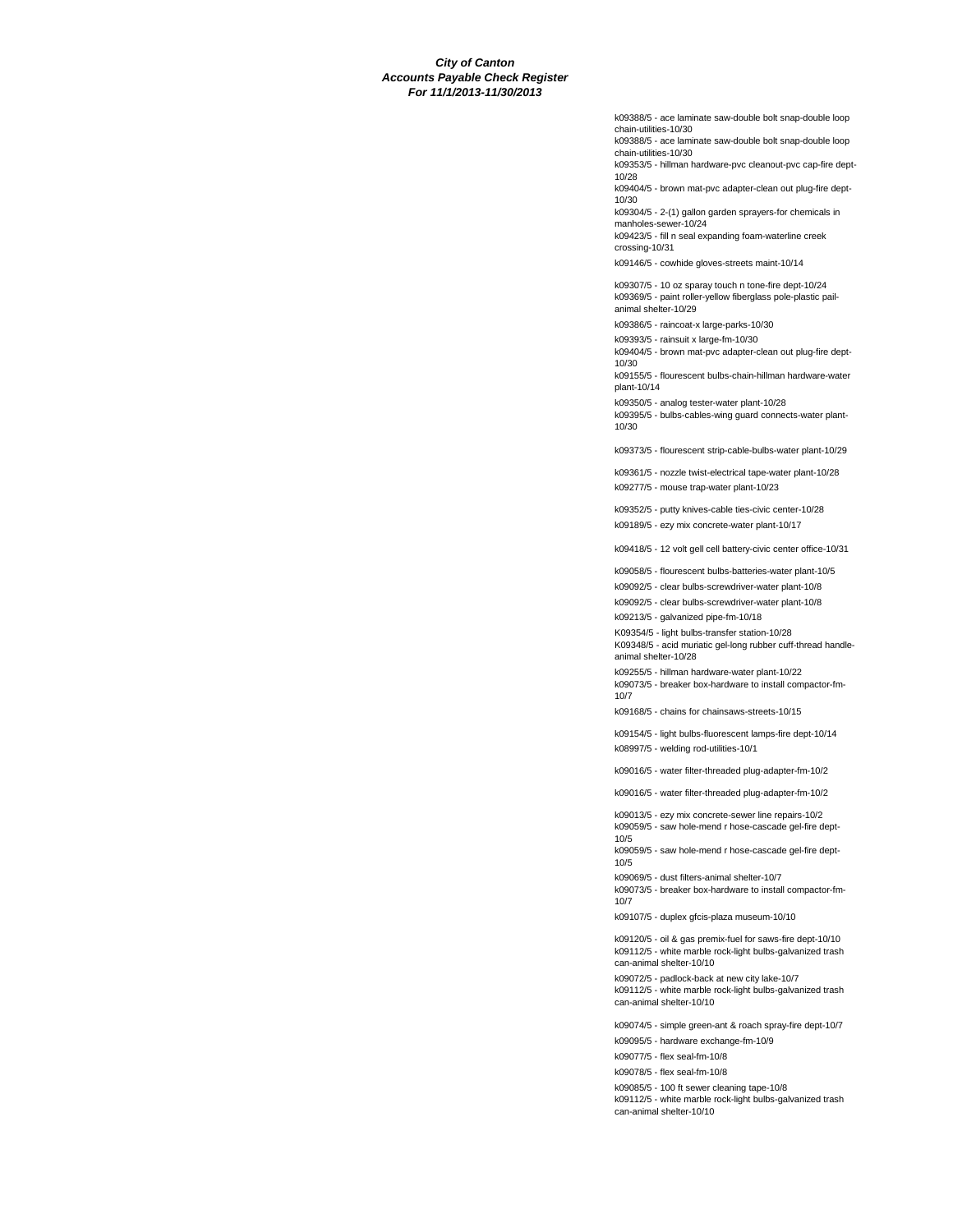k09388/5 - ace laminate saw-double bolt snap-double loop chain-utilities-10/30

k09388/5 - ace laminate saw-double bolt snap-double loop chain-utilities-10/30

k09353/5 - hillman hardware-pvc cleanout-pvc cap-fire dept-10/28

k09404/5 - brown mat-pvc adapter-clean out plug-fire dept-10/30

k09304/5 - 2-(1) gallon garden sprayers-for chemicals in manholes-sewer-10/24

k09423/5 - fill n seal expanding foam-waterline creek crossing-10/31

k09146/5 - cowhide gloves-streets maint-10/14

k09307/5 - 10 oz sparay touch n tone-fire dept-10/24 k09369/5 - paint roller-yellow fiberglass pole-plastic pailanimal shelter-10/29

k09386/5 - raincoat-x large-parks-10/30

k09393/5 - rainsuit x large-fm-10/30

k09404/5 - brown mat-pvc adapter-clean out plug-fire dept-10/30

k09155/5 - flourescent bulbs-chain-hillman hardware-water plant-10/14

k09350/5 - analog tester-water plant-10/28 k09395/5 - bulbs-cables-wing guard connects-water plant-10/30

k09373/5 - flourescent strip-cable-bulbs-water plant-10/29

k09361/5 - nozzle twist-electrical tape-water plant-10/28 k09277/5 - mouse trap-water plant-10/23

k09352/5 - putty knives-cable ties-civic center-10/28 k09189/5 - ezy mix concrete-water plant-10/17

k09418/5 - 12 volt gell cell battery-civic center office-10/31

k09058/5 - flourescent bulbs-batteries-water plant-10/5

k09092/5 - clear bulbs-screwdriver-water plant-10/8

k09092/5 - clear bulbs-screwdriver-water plant-10/8 k09213/5 - galvanized pipe-fm-10/18

K09354/5 - light bulbs-transfer station-10/28

K09348/5 - acid muriatic gel-long rubber cuff-thread handleanimal shelter-10/28

k09255/5 - hillman hardware-water plant-10/22 k09073/5 - breaker box-hardware to install compactor-fm-10/7

k09168/5 - chains for chainsaws-streets-10/15

k09154/5 - light bulbs-fluorescent lamps-fire dept-10/14 k08997/5 - welding rod-utilities-10/1

k09016/5 - water filter-threaded plug-adapter-fm-10/2

k09016/5 - water filter-threaded plug-adapter-fm-10/2

k09013/5 - ezy mix concrete-sewer line repairs-10/2 k09059/5 - saw hole-mend r hose-cascade gel-fire dept-10/5

k09059/5 - saw hole-mend r hose-cascade gel-fire dept-10/5

k09069/5 - dust filters-animal shelter-10/7 k09073/5 - breaker box-hardware to install compactor-fm-

10/7

k09107/5 - duplex gfcis-plaza museum-10/10

k09120/5 - oil & gas premix-fuel for saws-fire dept-10/10 k09112/5 - white marble rock-light bulbs-galvanized trash can-animal shelter-10/10

k09072/5 - padlock-back at new city lake-10/7 k09112/5 - white marble rock-light bulbs-galvanized trash can-animal shelter-10/10

k09074/5 - simple green-ant & roach spray-fire dept-10/7 k09095/5 - hardware exchange-fm-10/9

k09077/5 - flex seal-fm-10/8

k09078/5 - flex seal-fm-10/8

k09085/5 - 100 ft sewer cleaning tape-10/8

k09112/5 - white marble rock-light bulbs-galvanized trash can-animal shelter-10/10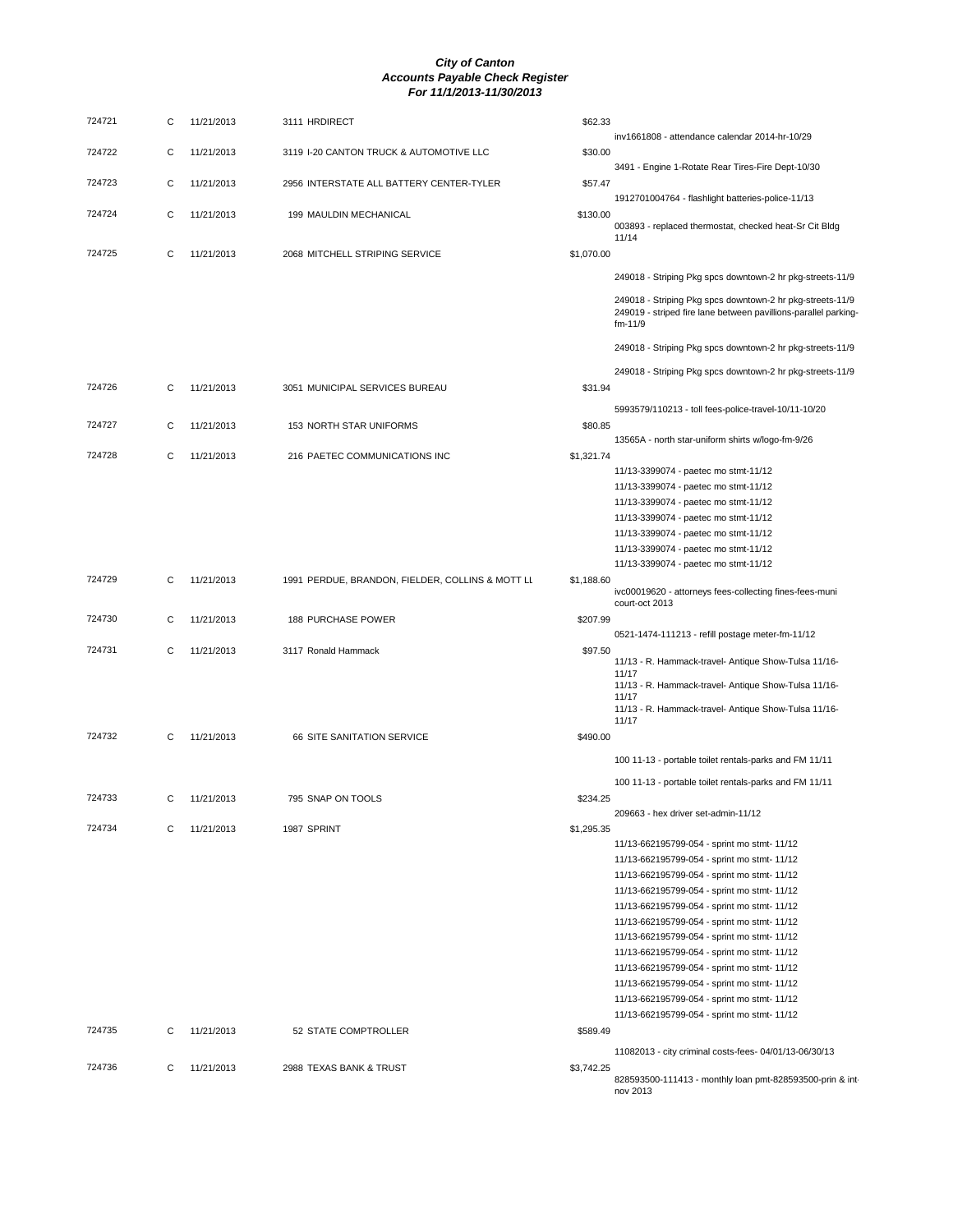| 724721 | С | 11/21/2013 | 3111 HRDIRECT                                    | \$62.33    | inv1661808 - attendance calendar 2014-hr-10/29                                                                                              |
|--------|---|------------|--------------------------------------------------|------------|---------------------------------------------------------------------------------------------------------------------------------------------|
| 724722 | С | 11/21/2013 | 3119 I-20 CANTON TRUCK & AUTOMOTIVE LLC          | \$30.00    | 3491 - Engine 1-Rotate Rear Tires-Fire Dept-10/30                                                                                           |
| 724723 | С | 11/21/2013 | 2956 INTERSTATE ALL BATTERY CENTER-TYLER         | \$57.47    | 1912701004764 - flashlight batteries-police-11/13                                                                                           |
| 724724 | С | 11/21/2013 | 199 MAULDIN MECHANICAL                           | \$130.00   | 003893 - replaced thermostat, checked heat-Sr Cit Bldg<br>11/14                                                                             |
| 724725 | С | 11/21/2013 | 2068 MITCHELL STRIPING SERVICE                   | \$1,070.00 |                                                                                                                                             |
|        |   |            |                                                  |            | 249018 - Striping Pkg spcs downtown-2 hr pkg-streets-11/9                                                                                   |
|        |   |            |                                                  |            | 249018 - Striping Pkg spcs downtown-2 hr pkg-streets-11/9<br>249019 - striped fire lane between pavillions-parallel parking-<br>$fm - 11/9$ |
|        |   |            |                                                  |            | 249018 - Striping Pkg spcs downtown-2 hr pkg-streets-11/9                                                                                   |
| 724726 | С | 11/21/2013 | 3051 MUNICIPAL SERVICES BUREAU                   | \$31.94    | 249018 - Striping Pkg spcs downtown-2 hr pkg-streets-11/9                                                                                   |
|        |   |            |                                                  |            | 5993579/110213 - toll fees-police-travel-10/11-10/20                                                                                        |
| 724727 | С | 11/21/2013 | 153 NORTH STAR UNIFORMS                          | \$80.85    |                                                                                                                                             |
| 724728 | С | 11/21/2013 | 216 PAETEC COMMUNICATIONS INC                    | \$1,321.74 | 13565A - north star-uniform shirts w/logo-fm-9/26                                                                                           |
|        |   |            |                                                  |            | 11/13-3399074 - paetec mo stmt-11/12                                                                                                        |
|        |   |            |                                                  |            | 11/13-3399074 - paetec mo stmt-11/12                                                                                                        |
|        |   |            |                                                  |            | 11/13-3399074 - paetec mo stmt-11/12                                                                                                        |
|        |   |            |                                                  |            | 11/13-3399074 - paetec mo stmt-11/12                                                                                                        |
|        |   |            |                                                  |            | 11/13-3399074 - paetec mo stmt-11/12                                                                                                        |
|        |   |            |                                                  |            | 11/13-3399074 - paetec mo stmt-11/12                                                                                                        |
|        |   |            |                                                  |            | 11/13-3399074 - paetec mo stmt-11/12                                                                                                        |
| 724729 | С | 11/21/2013 | 1991 PERDUE, BRANDON, FIELDER, COLLINS & MOTT LL | \$1,188.60 | ivc00019620 - attorneys fees-collecting fines-fees-muni<br>court-oct 2013                                                                   |
| 724730 | С | 11/21/2013 | <b>188 PURCHASE POWER</b>                        | \$207.99   |                                                                                                                                             |
| 724731 | С | 11/21/2013 | 3117 Ronald Hammack                              | \$97.50    | 0521-1474-111213 - refill postage meter-fm-11/12                                                                                            |
|        |   |            |                                                  |            | 11/13 - R. Hammack-travel- Antique Show-Tulsa 11/16-<br>11/17                                                                               |
|        |   |            |                                                  |            | 11/13 - R. Hammack-travel- Antique Show-Tulsa 11/16-<br>11/17                                                                               |
|        |   |            |                                                  |            | 11/13 - R. Hammack-travel- Antique Show-Tulsa 11/16-<br>11/17                                                                               |
| 724732 | С | 11/21/2013 | 66 SITE SANITATION SERVICE                       | \$490.00   |                                                                                                                                             |
|        |   |            |                                                  |            | 100 11-13 - portable toilet rentals-parks and FM 11/11                                                                                      |
| 724733 | С | 11/21/2013 | 795 SNAP ON TOOLS                                | \$234.25   | 100 11-13 - portable toilet rentals-parks and FM 11/11                                                                                      |
|        |   |            |                                                  |            | 209663 - hex driver set-admin-11/12                                                                                                         |
| 724734 | С | 11/21/2013 | 1987 SPRINT                                      | \$1,295.35 |                                                                                                                                             |
|        |   |            |                                                  |            | 11/13-662195799-054 - sprint mo stmt- 11/12                                                                                                 |
|        |   |            |                                                  |            | 11/13-662195799-054 - sprint mo stmt- 11/12                                                                                                 |
|        |   |            |                                                  |            | 11/13-662195799-054 - sprint mo stmt- 11/12<br>11/13-662195799-054 - sprint mo stmt- 11/12                                                  |
|        |   |            |                                                  |            | 11/13-662195799-054 - sprint mo stmt- 11/12                                                                                                 |
|        |   |            |                                                  |            | 11/13-662195799-054 - sprint mo stmt- 11/12                                                                                                 |
|        |   |            |                                                  |            | 11/13-662195799-054 - sprint mo stmt- 11/12                                                                                                 |
|        |   |            |                                                  |            | 11/13-662195799-054 - sprint mo stmt- 11/12                                                                                                 |
|        |   |            |                                                  |            | 11/13-662195799-054 - sprint mo stmt- 11/12                                                                                                 |
|        |   |            |                                                  |            | 11/13-662195799-054 - sprint mo stmt- 11/12                                                                                                 |
|        |   |            |                                                  |            | 11/13-662195799-054 - sprint mo stmt- 11/12                                                                                                 |
|        |   |            |                                                  |            | 11/13-662195799-054 - sprint mo stmt- 11/12                                                                                                 |
| 724735 | С | 11/21/2013 | 52 STATE COMPTROLLER                             | \$589.49   |                                                                                                                                             |
|        |   |            |                                                  |            | 11082013 - city criminal costs-fees- 04/01/13-06/30/13                                                                                      |
| 724736 | С | 11/21/2013 | 2988 TEXAS BANK & TRUST                          | \$3,742.25 | 828593500-111413 - monthly loan pmt-828593500-prin & int-<br>nov 2013                                                                       |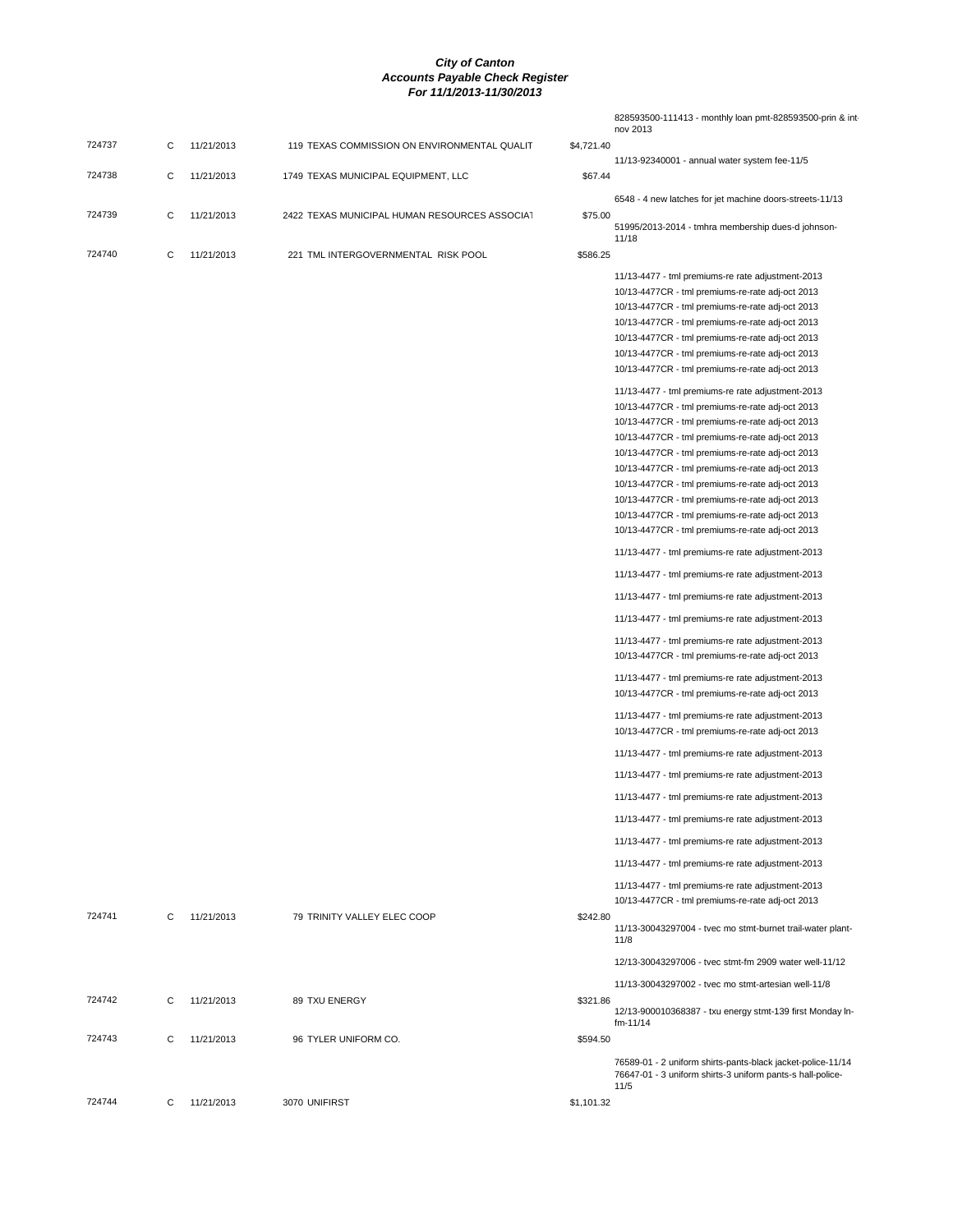|        |   |            |                                               |            | 828593500-111413 - monthly loan pmt-828593500-prin & int<br>nov 2013                                                              |
|--------|---|------------|-----------------------------------------------|------------|-----------------------------------------------------------------------------------------------------------------------------------|
| 724737 | С | 11/21/2013 | 119 TEXAS COMMISSION ON ENVIRONMENTAL QUALIT  | \$4,721.40 |                                                                                                                                   |
| 724738 | C | 11/21/2013 | 1749 TEXAS MUNICIPAL EQUIPMENT, LLC           | \$67.44    | 11/13-92340001 - annual water system fee-11/5                                                                                     |
|        |   |            |                                               |            | 6548 - 4 new latches for jet machine doors-streets-11/13                                                                          |
| 724739 | C | 11/21/2013 | 2422 TEXAS MUNICIPAL HUMAN RESOURCES ASSOCIAT | \$75.00    | 51995/2013-2014 - tmhra membership dues-d johnson-                                                                                |
| 724740 | C | 11/21/2013 | 221 TML INTERGOVERNMENTAL RISK POOL           | \$586.25   | 11/18                                                                                                                             |
|        |   |            |                                               |            |                                                                                                                                   |
|        |   |            |                                               |            | 11/13-4477 - tml premiums-re rate adjustment-2013<br>10/13-4477CR - tml premiums-re-rate adj-oct 2013                             |
|        |   |            |                                               |            |                                                                                                                                   |
|        |   |            |                                               |            | 10/13-4477CR - tml premiums-re-rate adj-oct 2013<br>10/13-4477CR - tml premiums-re-rate adj-oct 2013                              |
|        |   |            |                                               |            |                                                                                                                                   |
|        |   |            |                                               |            | 10/13-4477CR - tml premiums-re-rate adj-oct 2013                                                                                  |
|        |   |            |                                               |            | 10/13-4477CR - tml premiums-re-rate adj-oct 2013                                                                                  |
|        |   |            |                                               |            | 10/13-4477CR - tml premiums-re-rate adj-oct 2013                                                                                  |
|        |   |            |                                               |            | 11/13-4477 - tml premiums-re rate adjustment-2013                                                                                 |
|        |   |            |                                               |            | 10/13-4477CR - tml premiums-re-rate adj-oct 2013                                                                                  |
|        |   |            |                                               |            | 10/13-4477CR - tml premiums-re-rate adj-oct 2013                                                                                  |
|        |   |            |                                               |            | 10/13-4477CR - tml premiums-re-rate adj-oct 2013                                                                                  |
|        |   |            |                                               |            | 10/13-4477CR - tml premiums-re-rate adj-oct 2013                                                                                  |
|        |   |            |                                               |            | 10/13-4477CR - tml premiums-re-rate adj-oct 2013                                                                                  |
|        |   |            |                                               |            | 10/13-4477CR - tml premiums-re-rate adj-oct 2013                                                                                  |
|        |   |            |                                               |            | 10/13-4477CR - tml premiums-re-rate adj-oct 2013                                                                                  |
|        |   |            |                                               |            | 10/13-4477CR - tml premiums-re-rate adj-oct 2013                                                                                  |
|        |   |            |                                               |            | 10/13-4477CR - tml premiums-re-rate adj-oct 2013                                                                                  |
|        |   |            |                                               |            | 11/13-4477 - tml premiums-re rate adjustment-2013                                                                                 |
|        |   |            |                                               |            | 11/13-4477 - tml premiums-re rate adjustment-2013                                                                                 |
|        |   |            |                                               |            | 11/13-4477 - tml premiums-re rate adjustment-2013                                                                                 |
|        |   |            |                                               |            | 11/13-4477 - tml premiums-re rate adjustment-2013                                                                                 |
|        |   |            |                                               |            | 11/13-4477 - tml premiums-re rate adjustment-2013                                                                                 |
|        |   |            |                                               |            | 10/13-4477CR - tml premiums-re-rate adj-oct 2013                                                                                  |
|        |   |            |                                               |            | 11/13-4477 - tml premiums-re rate adjustment-2013<br>10/13-4477CR - tml premiums-re-rate adj-oct 2013                             |
|        |   |            |                                               |            | 11/13-4477 - tml premiums-re rate adjustment-2013<br>10/13-4477CR - tml premiums-re-rate adj-oct 2013                             |
|        |   |            |                                               |            | 11/13-4477 - tml premiums-re rate adjustment-2013                                                                                 |
|        |   |            |                                               |            | 11/13-4477 - tml premiums-re rate adjustment-2013                                                                                 |
|        |   |            |                                               |            | 11/13-4477 - tml premiums-re rate adjustment-2013                                                                                 |
|        |   |            |                                               |            | 11/13-4477 - tml premiums-re rate adjustment-2013                                                                                 |
|        |   |            |                                               |            | 11/13-4477 - tml premiums-re rate adjustment-2013                                                                                 |
|        |   |            |                                               |            | 11/13-4477 - tml premiums-re rate adjustment-2013                                                                                 |
|        |   |            |                                               |            | 11/13-4477 - tml premiums-re rate adjustment-2013<br>10/13-4477CR - tml premiums-re-rate adj-oct 2013                             |
| 724741 | C | 11/21/2013 | 79 TRINITY VALLEY ELEC COOP                   | \$242.80   | 11/13-30043297004 - tvec mo stmt-burnet trail-water plant-<br>11/8                                                                |
|        |   |            |                                               |            | 12/13-30043297006 - tvec stmt-fm 2909 water well-11/12                                                                            |
|        |   |            |                                               |            | 11/13-30043297002 - tyec mo stmt-artesian well-11/8                                                                               |
| 724742 | C | 11/21/2013 | 89 TXU ENERGY                                 | \$321.86   | 12/13-900010368387 - txu energy stmt-139 first Monday In-<br>fm-11/14                                                             |
| 724743 | C | 11/21/2013 | 96 TYLER UNIFORM CO.                          | \$594.50   |                                                                                                                                   |
|        |   |            |                                               |            | 76589-01 - 2 uniform shirts-pants-black jacket-police-11/14<br>76647-01 - 3 uniform shirts-3 uniform pants-s hall-police-<br>11/5 |
| 724744 | C | 11/21/2013 | 3070 UNIFIRST                                 | \$1,101.32 |                                                                                                                                   |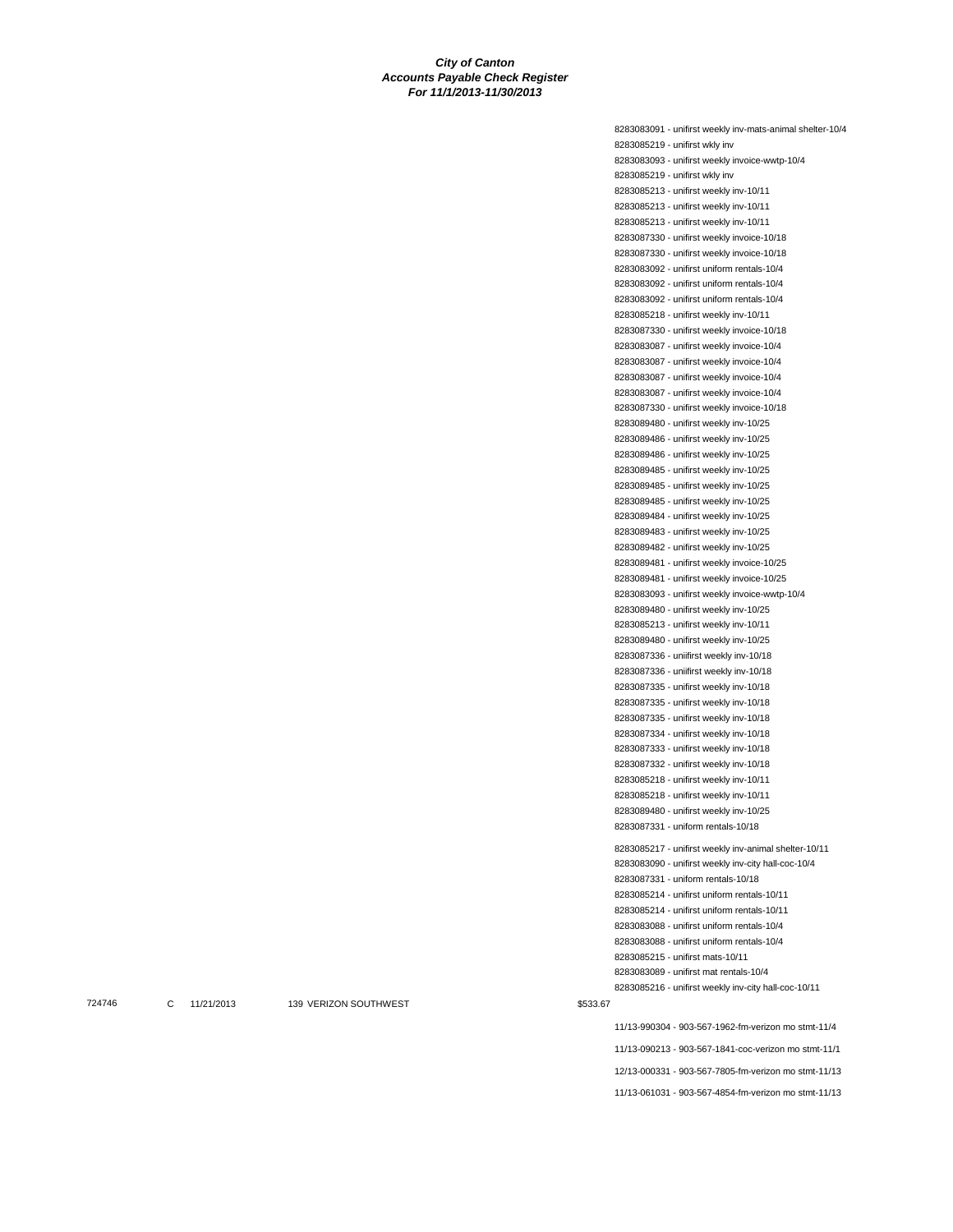8283083091 - unifirst weekly inv-mats-animal shelter-10/4 8283085219 - unifirst wkly inv 8283083093 - unifirst weekly invoice-wwtp-10/4 8283085219 - unifirst wkly inv 8283085213 - unifirst weekly inv-10/11 8283085213 - unifirst weekly inv-10/11 8283085213 - unifirst weekly inv-10/11 8283087330 - unifirst weekly invoice-10/18 8283087330 - unifirst weekly invoice-10/18 8283083092 - unifirst uniform rentals-10/4 8283083092 - unifirst uniform rentals-10/4 8283083092 - unifirst uniform rentals-10/4 8283085218 - unifirst weekly inv-10/11 8283087330 - unifirst weekly invoice-10/18 8283083087 - unifirst weekly invoice-10/4 8283083087 - unifirst weekly invoice-10/4 8283083087 - unifirst weekly invoice-10/4 8283083087 - unifirst weekly invoice-10/4 8283087330 - unifirst weekly invoice-10/18 8283089480 - unifirst weekly inv-10/25 8283089486 - unifirst weekly inv-10/25 8283089486 - unifirst weekly inv-10/25 8283089485 - unifirst weekly inv-10/25 8283089485 - unifirst weekly inv-10/25 8283089485 - unifirst weekly inv-10/25 8283089484 - unifirst weekly inv-10/25 8283089483 - unifirst weekly inv-10/25 8283089482 - unifirst weekly inv-10/25 8283089481 - unifirst weekly invoice-10/25 8283089481 - unifirst weekly invoice-10/25 8283083093 - unifirst weekly invoice-wwtp-10/4 8283089480 - unifirst weekly inv-10/25 8283085213 - unifirst weekly inv-10/11 8283089480 - unifirst weekly inv-10/25 8283087336 - uniifirst weekly inv-10/18 8283087336 - uniifirst weekly inv-10/18 8283087335 - unifirst weekly inv-10/18 8283087335 - unifirst weekly inv-10/18 8283087335 - unifirst weekly inv-10/18 8283087334 - unifirst weekly inv-10/18 8283087333 - unifirst weekly inv-10/18 8283087332 - unifirst weekly inv-10/18 8283085218 - unifirst weekly inv-10/11 8283085218 - unifirst weekly inv-10/11 8283089480 - unifirst weekly inv-10/25 8283087331 - uniform rentals-10/18 8283085217 - unifirst weekly inv-animal shelter-10/11 8283083090 - unifirst weekly inv-city hall-coc-10/4 8283087331 - uniform rentals-10/18 8283085214 - unifirst uniform rentals-10/11 8283085214 - unifirst uniform rentals-10/11 8283083088 - unifirst uniform rentals-10/4 8283083088 - unifirst uniform rentals-10/4 8283085215 - unifirst mats-10/11 8283083089 - unifirst mat rentals-10/4 8283085216 - unifirst weekly inv-city hall-coc-10/11 11/13-990304 - 903-567-1962-fm-verizon mo stmt-11/4 11/13-090213 - 903-567-1841-coc-verizon mo stmt-11/1

12/13-000331 - 903-567-7805-fm-verizon mo stmt-11/13

11/13-061031 - 903-567-4854-fm-verizon mo stmt-11/13

T24746 C 11/21/2013 139 VERIZON SOUTHWEST 6533.67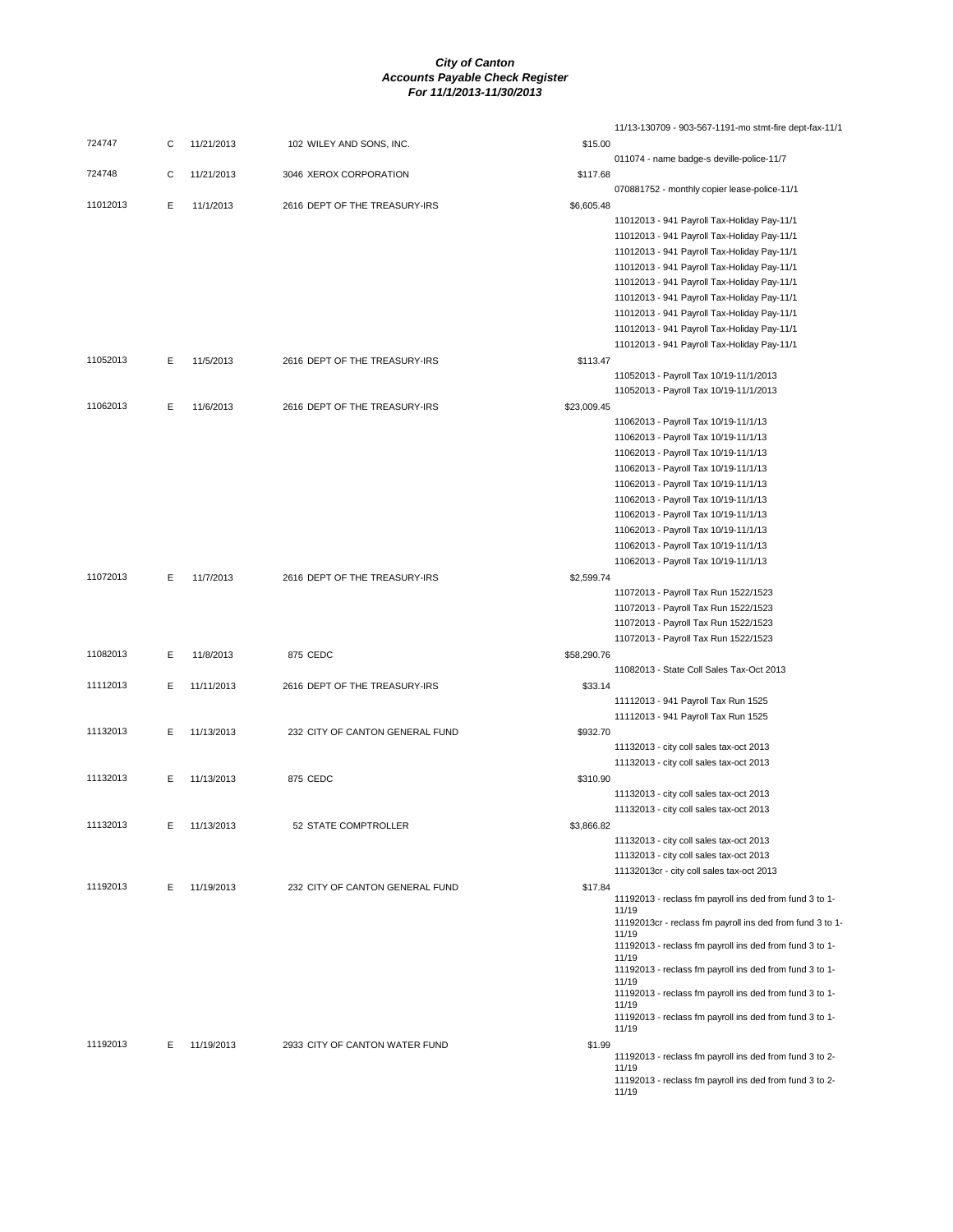|          |   |            |                                 |             | 11/13-130709 - 903-567-1191-mo stmt-fire dept-fax-11/1                       |
|----------|---|------------|---------------------------------|-------------|------------------------------------------------------------------------------|
| 724747   | C | 11/21/2013 | 102 WILEY AND SONS, INC.        | \$15.00     |                                                                              |
| 724748   | С | 11/21/2013 | 3046 XEROX CORPORATION          | \$117.68    | 011074 - name badge-s deville-police-11/7                                    |
|          |   |            |                                 |             | 070881752 - monthly copier lease-police-11/1                                 |
| 11012013 | Е | 11/1/2013  | 2616 DEPT OF THE TREASURY-IRS   | \$6,605.48  |                                                                              |
|          |   |            |                                 |             | 11012013 - 941 Payroll Tax-Holiday Pay-11/1                                  |
|          |   |            |                                 |             | 11012013 - 941 Payroll Tax-Holiday Pay-11/1                                  |
|          |   |            |                                 |             | 11012013 - 941 Payroll Tax-Holiday Pay-11/1                                  |
|          |   |            |                                 |             | 11012013 - 941 Payroll Tax-Holiday Pay-11/1                                  |
|          |   |            |                                 |             | 11012013 - 941 Payroll Tax-Holiday Pay-11/1                                  |
|          |   |            |                                 |             | 11012013 - 941 Payroll Tax-Holiday Pay-11/1                                  |
|          |   |            |                                 |             | 11012013 - 941 Payroll Tax-Holiday Pay-11/1                                  |
|          |   |            |                                 |             | 11012013 - 941 Payroll Tax-Holiday Pay-11/1                                  |
|          |   |            |                                 |             | 11012013 - 941 Payroll Tax-Holiday Pay-11/1                                  |
| 11052013 | Ε | 11/5/2013  | 2616 DEPT OF THE TREASURY-IRS   | \$113.47    |                                                                              |
|          |   |            |                                 |             | 11052013 - Payroll Tax 10/19-11/1/2013                                       |
|          |   |            |                                 |             | 11052013 - Payroll Tax 10/19-11/1/2013                                       |
| 11062013 | Ε | 11/6/2013  | 2616 DEPT OF THE TREASURY-IRS   | \$23,009.45 |                                                                              |
|          |   |            |                                 |             | 11062013 - Payroll Tax 10/19-11/1/13                                         |
|          |   |            |                                 |             | 11062013 - Payroll Tax 10/19-11/1/13                                         |
|          |   |            |                                 |             | 11062013 - Payroll Tax 10/19-11/1/13                                         |
|          |   |            |                                 |             | 11062013 - Payroll Tax 10/19-11/1/13                                         |
|          |   |            |                                 |             | 11062013 - Payroll Tax 10/19-11/1/13<br>11062013 - Payroll Tax 10/19-11/1/13 |
|          |   |            |                                 |             | 11062013 - Payroll Tax 10/19-11/1/13                                         |
|          |   |            |                                 |             | 11062013 - Payroll Tax 10/19-11/1/13                                         |
|          |   |            |                                 |             | 11062013 - Payroll Tax 10/19-11/1/13                                         |
|          |   |            |                                 |             | 11062013 - Payroll Tax 10/19-11/1/13                                         |
| 11072013 | Е | 11/7/2013  | 2616 DEPT OF THE TREASURY-IRS   | \$2,599.74  |                                                                              |
|          |   |            |                                 |             | 11072013 - Payroll Tax Run 1522/1523                                         |
|          |   |            |                                 |             | 11072013 - Payroll Tax Run 1522/1523                                         |
|          |   |            |                                 |             | 11072013 - Payroll Tax Run 1522/1523                                         |
|          |   |            |                                 |             | 11072013 - Payroll Tax Run 1522/1523                                         |
| 11082013 | Ε | 11/8/2013  | 875 CEDC                        | \$58,290.76 |                                                                              |
|          |   |            |                                 |             | 11082013 - State Coll Sales Tax-Oct 2013                                     |
| 11112013 | E | 11/11/2013 | 2616 DEPT OF THE TREASURY-IRS   | \$33.14     |                                                                              |
|          |   |            |                                 |             | 11112013 - 941 Payroll Tax Run 1525                                          |
|          |   |            |                                 |             | 11112013 - 941 Payroll Tax Run 1525                                          |
| 11132013 | E | 11/13/2013 | 232 CITY OF CANTON GENERAL FUND | \$932.70    |                                                                              |
|          |   |            |                                 |             | 11132013 - city coll sales tax-oct 2013                                      |
|          |   |            |                                 |             | 11132013 - city coll sales tax-oct 2013                                      |
| 11132013 | E | 11/13/2013 | 875 CEDC                        | \$310.90    |                                                                              |
|          |   |            |                                 |             | 11132013 - city coll sales tax-oct 2013                                      |
|          |   |            |                                 |             | 11132013 - city coll sales tax-oct 2013                                      |
| 11132013 | Е | 11/13/2013 | 52 STATE COMPTROLLER            | \$3,866.82  |                                                                              |
|          |   |            |                                 |             | 11132013 - city coll sales tax-oct 2013                                      |
|          |   |            |                                 |             | 11132013 - city coll sales tax-oct 2013                                      |
| 11192013 | Ε | 11/19/2013 | 232 CITY OF CANTON GENERAL FUND | \$17.84     | 11132013cr - city coll sales tax-oct 2013                                    |
|          |   |            |                                 |             | 11192013 - reclass fm payroll ins ded from fund 3 to 1-                      |
|          |   |            |                                 |             | 11/19                                                                        |
|          |   |            |                                 |             | 11192013cr - reclass fm payroll ins ded from fund 3 to 1-<br>11/19           |
|          |   |            |                                 |             | 11192013 - reclass fm payroll ins ded from fund 3 to 1-                      |
|          |   |            |                                 |             | 11/19<br>11192013 - reclass fm payroll ins ded from fund 3 to 1-             |
|          |   |            |                                 |             | 11/19                                                                        |
|          |   |            |                                 |             | 11192013 - reclass fm payroll ins ded from fund 3 to 1-                      |
|          |   |            |                                 |             | 11/19<br>11192013 - reclass fm payroll ins ded from fund 3 to 1-             |
|          |   |            |                                 |             | 11/19                                                                        |
| 11192013 | Е | 11/19/2013 | 2933 CITY OF CANTON WATER FUND  | \$1.99      |                                                                              |
|          |   |            |                                 |             | 11192013 - reclass fm payroll ins ded from fund 3 to 2-                      |
|          |   |            |                                 |             | 11/19<br>11192013 - reclass fm payroll ins ded from fund 3 to 2-             |
|          |   |            |                                 |             | 11/19                                                                        |